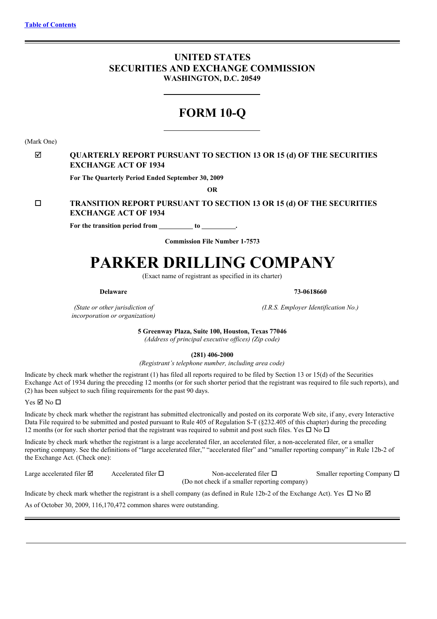# **UNITED STATES SECURITIES AND EXCHANGE COMMISSION WASHINGTON, D.C. 20549**

# **FORM 10-Q**

(Mark One)

# þ **QUARTERLY REPORT PURSUANT TO SECTION 13 OR 15 (d) OF THE SECURITIES EXCHANGE ACT OF 1934**

**For The Quarterly Period Ended September 30, 2009**

**OR**

# o **TRANSITION REPORT PURSUANT TO SECTION 13 OR 15 (d) OF THE SECURITIES EXCHANGE ACT OF 1934**

**For the transition period from to .**

**Commission File Number 1-7573**

# **PARKER DRILLING COMPANY**

(Exact name of registrant as specified in its charter)

**Delaware 73-0618660**

*(State or other jurisdiction of (I.R.S. Employer Identification No.) incorporation or organization)*

**5 Greenway Plaza, Suite 100, Houston, Texas 77046** *(Address of principal executive of ices) (Zip code)*

**(281) 406-2000**

*(Registrant's telephone number, including area code)*

Indicate by check mark whether the registrant (1) has filed all reports required to be filed by Section 13 or 15(d) of the Securities Exchange Act of 1934 during the preceding 12 months (or for such shorter period that the registrant was required to file such reports), and (2) has been subject to such filing requirements for the past 90 days.

#### $Yes \nbox{ } No \square$

Indicate by check mark whether the registrant has submitted electronically and posted on its corporate Web site, if any, every Interactive Data File required to be submitted and posted pursuant to Rule 405 of Regulation S-T (§232.405 of this chapter) during the preceding 12 months (or for such shorter period that the registrant was required to submit and post such files. Yes  $\Box$  No  $\Box$ 

Indicate by check mark whether the registrant is a large accelerated filer, an accelerated filer, a non-accelerated filer, or a smaller reporting company. See the definitions of "large accelerated filer," "accelerated filer" and "smaller reporting company" in Rule 12b-2 of the Exchange Act. (Check one):

Large accelerated filer  $\Box$  Accelerated filer  $\Box$  Non-accelerated filer  $\Box$  Smaller reporting Company  $\Box$ (Do not check if a smaller reporting company) Indicate by check mark whether the registrant is a shell company (as defined in Rule 12b-2 of the Exchange Act). Yes  $\Box$  No  $\Box$ 

As of October 30, 2009, 116,170,472 common shares were outstanding.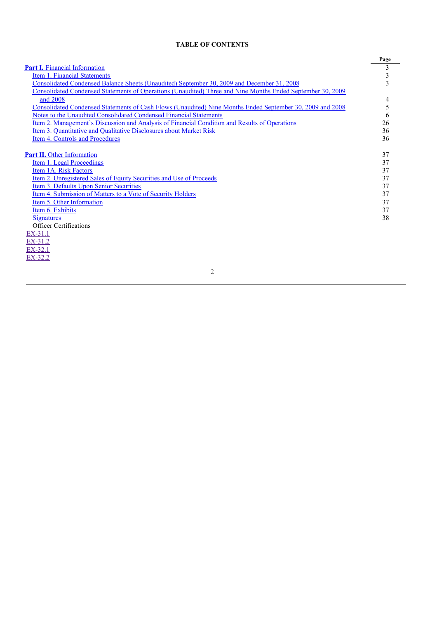# **TABLE OF CONTENTS**

|                                                                                                            | Page |
|------------------------------------------------------------------------------------------------------------|------|
| <b>Part I.</b> Financial Information                                                                       | 3    |
| Item 1. Financial Statements                                                                               | 3    |
| Consolidated Condensed Balance Sheets (Unaudited) September 30, 2009 and December 31, 2008                 | 3    |
| Consolidated Condensed Statements of Operations (Unaudited) Three and Nine Months Ended September 30, 2009 |      |
| and 2008                                                                                                   | 4    |
| Consolidated Condensed Statements of Cash Flows (Unaudited) Nine Months Ended September 30, 2009 and 2008  | 5    |
| Notes to the Unaudited Consolidated Condensed Financial Statements                                         | 6    |
| <u>Item 2. Management's Discussion and Analysis of Financial Condition and Results of Operations</u>       | 26   |
| Item 3. Quantitative and Qualitative Disclosures about Market Risk                                         | 36   |
| Item 4. Controls and Procedures                                                                            | 36   |
| <b>Part II.</b> Other Information                                                                          | 37   |
| Item 1. Legal Proceedings                                                                                  | 37   |
| Item 1A. Risk Factors                                                                                      | 37   |
| Item 2. Unregistered Sales of Equity Securities and Use of Proceeds                                        | 37   |
| Item 3. Defaults Upon Senior Securities                                                                    | 37   |
| Item 4. Submission of Matters to a Vote of Security Holders                                                | 37   |
| Item 5. Other Information                                                                                  | 37   |
| Item 6. Exhibits                                                                                           | 37   |
| Signatures                                                                                                 | 38   |
| <b>Officer Certifications</b>                                                                              |      |
| $EX-31.1$                                                                                                  |      |
| $EX-31.2$                                                                                                  |      |
| EX-32.1                                                                                                    |      |
| EX-32.2                                                                                                    |      |
|                                                                                                            |      |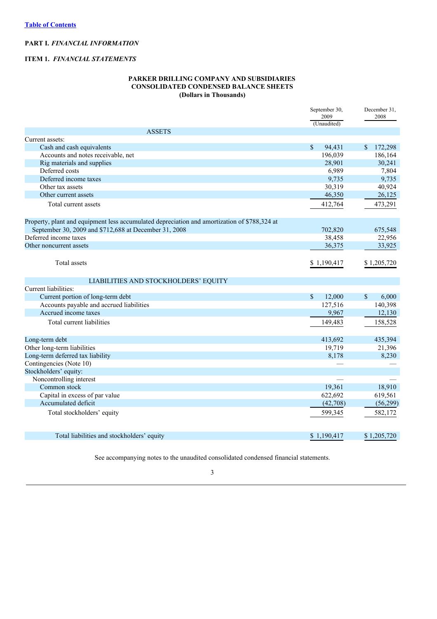## **PART I.** *FINANCIAL INFORMATION*

#### **ITEM 1.** *FINANCIAL STATEMENTS*

## **PARKER DRILLING COMPANY AND SUBSIDIARIES CONSOLIDATED CONDENSED BALANCE SHEETS (Dollars in Thousands)**

|                                                                                              | September 30,<br>2009<br>(Unaudited) | December 31,<br>2008  |
|----------------------------------------------------------------------------------------------|--------------------------------------|-----------------------|
| <b>ASSETS</b>                                                                                |                                      |                       |
| Current assets:                                                                              |                                      |                       |
| Cash and cash equivalents                                                                    | $\mathbb{S}$<br>94.431               | 172,298<br>\$         |
| Accounts and notes receivable, net                                                           | 196,039                              | 186,164               |
| Rig materials and supplies                                                                   | 28,901                               | 30,241                |
| Deferred costs                                                                               | 6,989                                | 7,804                 |
| Deferred income taxes                                                                        | 9,735                                | 9,735                 |
| Other tax assets                                                                             | 30,319                               | 40,924                |
| Other current assets                                                                         | 46,350                               | 26,125                |
| Total current assets                                                                         | 412,764                              | 473,291               |
| Property, plant and equipment less accumulated depreciation and amortization of \$788,324 at |                                      |                       |
| September 30, 2009 and \$712,688 at December 31, 2008                                        | 702,820                              | 675,548               |
| Deferred income taxes                                                                        | 38,458                               | 22,956                |
| Other noncurrent assets                                                                      | 36,375                               | 33,925                |
| Total assets                                                                                 | \$1,190,417                          | \$1,205,720           |
| LIABILITIES AND STOCKHOLDERS' EQUITY                                                         |                                      |                       |
| Current liabilities:                                                                         |                                      |                       |
| Current portion of long-term debt                                                            | $\mathcal{S}$<br>12,000              | $\mathbb{S}$<br>6.000 |
| Accounts payable and accrued liabilities                                                     | 127,516                              | 140,398               |
| Accrued income taxes                                                                         | 9,967                                | 12,130                |
| Total current liabilities                                                                    | 149,483                              | 158,528               |
| Long-term debt                                                                               | 413,692                              | 435,394               |
| Other long-term liabilities                                                                  | 19,719                               | 21,396                |
| Long-term deferred tax liability                                                             | 8,178                                | 8,230                 |
| Contingencies (Note 10)                                                                      |                                      |                       |
| Stockholders' equity:                                                                        |                                      |                       |
| Noncontrolling interest                                                                      |                                      |                       |
| Common stock                                                                                 | 19,361                               | 18,910                |
| Capital in excess of par value                                                               | 622,692                              | 619,561               |
| Accumulated deficit                                                                          | (42,708)                             | (56,299)              |
| Total stockholders' equity                                                                   | 599,345                              | 582,172               |
| Total liabilities and stockholders' equity                                                   | \$1,190,417                          | \$1,205,720           |
|                                                                                              |                                      |                       |

See accompanying notes to the unaudited consolidated condensed financial statements.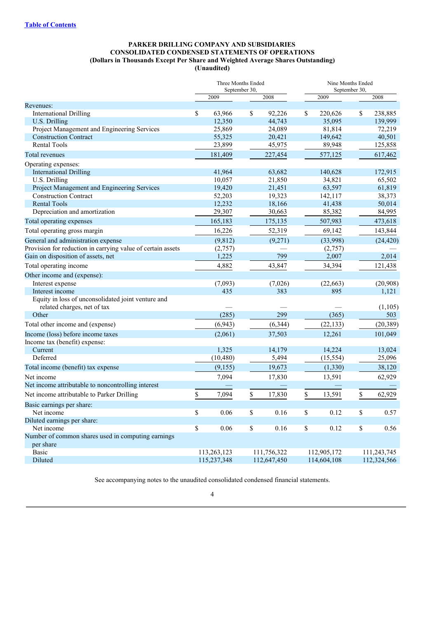## **PARKER DRILLING COMPANY AND SUBSIDIARIES CONSOLIDATED CONDENSED STATEMENTS OF OPERATIONS (Dollars in Thousands Except Per Share and Weighted Average Shares Outstanding) (Unaudited)**

|                                                                                   | Three Months Ended<br>September 30, |             |    |             | Nine Months Ended<br>September 30, |             |             |             |
|-----------------------------------------------------------------------------------|-------------------------------------|-------------|----|-------------|------------------------------------|-------------|-------------|-------------|
|                                                                                   |                                     | 2009        |    | 2008        |                                    | 2009        |             | 2008        |
| Revenues:                                                                         |                                     |             |    |             |                                    |             |             |             |
| <b>International Drilling</b>                                                     | \$                                  | 63,966      | \$ | 92,226      | \$                                 | 220,626     | \$          | 238,885     |
| U.S. Drilling                                                                     |                                     | 12,350      |    | 44,743      |                                    | 35,095      |             | 139,999     |
| Project Management and Engineering Services                                       |                                     | 25,869      |    | 24,089      |                                    | 81,814      |             | 72,219      |
| <b>Construction Contract</b>                                                      |                                     | 55,325      |    | 20,421      |                                    | 149,642     |             | 40,501      |
| <b>Rental Tools</b>                                                               |                                     | 23,899      |    | 45,975      |                                    | 89,948      |             | 125,858     |
| <b>Total revenues</b>                                                             |                                     | 181,409     |    | 227,454     |                                    | 577,125     |             | 617,462     |
| Operating expenses:                                                               |                                     |             |    |             |                                    |             |             |             |
| <b>International Drilling</b>                                                     |                                     | 41,964      |    | 63,682      |                                    | 140,628     |             | 172,915     |
| U.S. Drilling                                                                     |                                     | 10,057      |    | 21,850      |                                    | 34,821      |             | 65,502      |
| Project Management and Engineering Services                                       |                                     | 19,420      |    | 21,451      |                                    | 63,597      |             | 61,819      |
| <b>Construction Contract</b>                                                      |                                     | 52,203      |    | 19,323      |                                    | 142,117     |             | 38,373      |
| <b>Rental Tools</b>                                                               |                                     | 12,232      |    | 18,166      |                                    | 41,438      |             | 50,014      |
| Depreciation and amortization                                                     |                                     | 29,307      |    | 30,663      |                                    | 85,382      |             | 84,995      |
| Total operating expenses                                                          |                                     | 165,183     |    | 175,135     |                                    | 507,983     |             | 473,618     |
| Total operating gross margin                                                      |                                     | 16,226      |    | 52,319      |                                    | 69,142      |             | 143,844     |
| General and administration expense                                                |                                     | (9, 812)    |    | (9,271)     |                                    | (33,998)    |             | (24, 420)   |
| Provision for reduction in carrying value of certain assets                       |                                     | (2,757)     |    |             |                                    | (2,757)     |             |             |
| Gain on disposition of assets, net                                                |                                     | 1,225       |    | 799         |                                    | 2,007       |             | 2,014       |
| Total operating income                                                            |                                     | 4,882       |    | 43,847      |                                    | 34,394      |             | 121,438     |
| Other income and (expense):                                                       |                                     |             |    |             |                                    |             |             |             |
| Interest expense                                                                  |                                     | (7,093)     |    | (7,026)     |                                    | (22, 663)   |             | (20,908)    |
| Interest income                                                                   |                                     | 435         |    | 383         |                                    | 895         |             | 1,121       |
| Equity in loss of unconsolidated joint venture and<br>related charges, net of tax |                                     |             |    |             |                                    |             |             | (1,105)     |
| Other                                                                             |                                     | (285)       |    | 299         |                                    | (365)       |             | 503         |
| Total other income and (expense)                                                  |                                     | (6,943)     |    | (6, 344)    |                                    | (22, 133)   |             | (20, 389)   |
| Income (loss) before income taxes                                                 |                                     | (2,061)     |    | 37,503      |                                    | 12,261      |             | 101,049     |
| Income tax (benefit) expense:                                                     |                                     |             |    |             |                                    |             |             |             |
| Current                                                                           |                                     | 1,325       |    | 14,179      |                                    | 14,224      |             | 13,024      |
| Deferred                                                                          |                                     | (10, 480)   |    | 5,494       |                                    | (15, 554)   |             | 25,096      |
| Total income (benefit) tax expense                                                |                                     | (9, 155)    |    | 19,673      |                                    | (1, 330)    |             | 38,120      |
| Net income                                                                        |                                     | 7,094       |    | 17,830      |                                    | 13,591      |             | 62,929      |
| Net income attributable to noncontrolling interest                                |                                     |             |    |             |                                    |             |             |             |
| Net income attributable to Parker Drilling                                        | \$                                  | 7,094       | \$ | 17,830      | \$                                 | 13,591      | \$          | 62,929      |
| Basic earnings per share:                                                         |                                     |             |    |             |                                    |             |             |             |
| Net income                                                                        | \$                                  | 0.06        | \$ | 0.16        | $\mathbb{S}$                       | 0.12        | \$          | 0.57        |
| Diluted earnings per share:                                                       |                                     |             |    |             |                                    |             |             |             |
| Net income                                                                        | \$                                  | 0.06        | \$ | 0.16        | $\mathbb S$                        | 0.12        | $\mathbb S$ | 0.56        |
| Number of common shares used in computing earnings<br>per share                   |                                     |             |    |             |                                    |             |             |             |
| Basic                                                                             |                                     | 113,263,123 |    | 111,756,322 |                                    | 112,905,172 |             | 111,243,745 |
| Diluted                                                                           |                                     | 115,237,348 |    | 112,647,450 |                                    | 114,604,108 |             | 112,324,566 |

See accompanying notes to the unaudited consolidated condensed financial statements.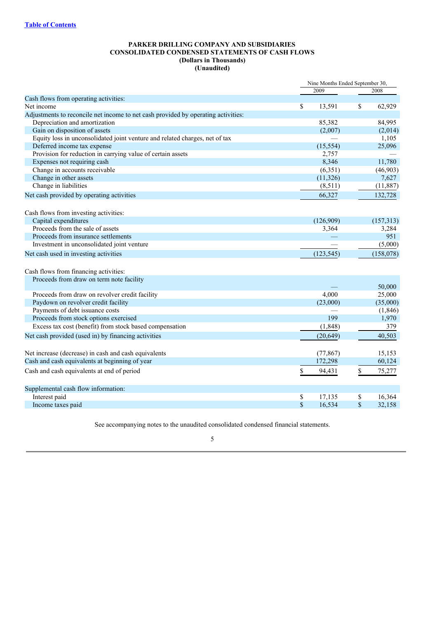|                                                                                   | Nine Months Ended September 30, |              |
|-----------------------------------------------------------------------------------|---------------------------------|--------------|
|                                                                                   | 2009                            | 2008         |
| Cash flows from operating activities:                                             |                                 |              |
| Net income                                                                        | \$<br>13,591                    | \$<br>62,929 |
| Adjustments to reconcile net income to net cash provided by operating activities: |                                 |              |
| Depreciation and amortization                                                     | 85,382                          | 84,995       |
| Gain on disposition of assets                                                     | (2,007)                         | (2,014)      |
| Equity loss in unconsolidated joint venture and related charges, net of tax       |                                 | 1,105        |
| Deferred income tax expense                                                       | (15, 554)                       | 25,096       |
| Provision for reduction in carrying value of certain assets                       | 2,757                           |              |
| Expenses not requiring cash                                                       | 8,346                           | 11,780       |
| Change in accounts receivable                                                     | (6,351)                         | (46,903)     |
| Change in other assets                                                            | (11, 326)                       | 7,627        |
| Change in liabilities                                                             | (8,511)                         | (11, 887)    |
| Net cash provided by operating activities                                         | 66,327                          | 132,728      |
| Cash flows from investing activities:                                             |                                 |              |
| Capital expenditures                                                              | (126,909)                       | (157,313)    |
| Proceeds from the sale of assets                                                  | 3,364                           | 3,284        |
| Proceeds from insurance settlements                                               |                                 | 951          |
| Investment in unconsolidated joint venture                                        |                                 | (5,000)      |
| Net cash used in investing activities                                             | (123, 545)                      | (158,078)    |
|                                                                                   |                                 |              |
| Cash flows from financing activities:                                             |                                 |              |
| Proceeds from draw on term note facility                                          |                                 | 50,000       |
| Proceeds from draw on revolver credit facility                                    | 4,000                           | 25,000       |
| Paydown on revolver credit facility                                               | (23,000)                        | (35,000)     |
| Payments of debt issuance costs                                                   |                                 | (1, 846)     |
| Proceeds from stock options exercised                                             | 199                             | 1,970        |
| Excess tax cost (benefit) from stock based compensation                           | (1,848)                         | 379          |
| Net cash provided (used in) by financing activities                               | (20, 649)                       | 40,503       |
|                                                                                   |                                 |              |
| Net increase (decrease) in cash and cash equivalents                              | (77, 867)                       | 15,153       |
| Cash and cash equivalents at beginning of year                                    | 172,298                         | 60,124       |
| Cash and cash equivalents at end of period                                        | \$<br>94,431                    | 75,277       |
| Supplemental cash flow information:                                               |                                 |              |
| Interest paid                                                                     | \$<br>17,135                    | \$<br>16,364 |
| Income taxes paid                                                                 | \$<br>16,534                    | \$<br>32,158 |
|                                                                                   |                                 |              |

See accompanying notes to the unaudited consolidated condensed financial statements.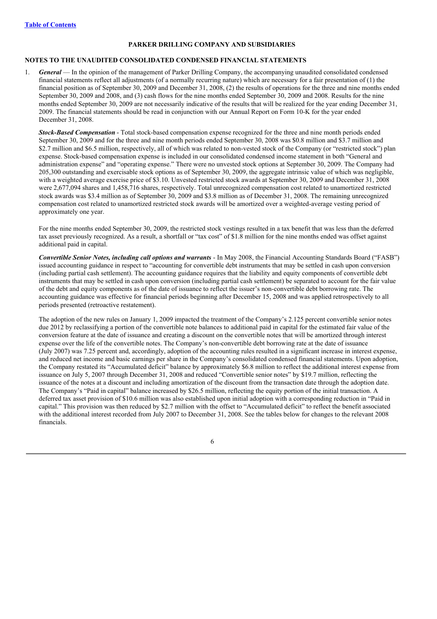## **PARKER DRILLING COMPANY AND SUBSIDIARIES**

#### **NOTES TO THE UNAUDITED CONSOLIDATED CONDENSED FINANCIAL STATEMENTS**

1. *General* — In the opinion of the management of Parker Drilling Company, the accompanying unaudited consolidated condensed financial statements reflect all adjustments (of a normally recurring nature) which are necessary for a fair presentation of (1) the financial position as of September 30, 2009 and December 31, 2008, (2) the results of operations for the three and nine months ended September 30, 2009 and 2008, and (3) cash flows for the nine months ended September 30, 2009 and 2008. Results for the nine months ended September 30, 2009 are not necessarily indicative of the results that will be realized for the year ending December 31, 2009. The financial statements should be read in conjunction with our Annual Report on Form 10-K for the year ended December 31, 2008.

*Stock-Based Compensation* - Total stock-based compensation expense recognized for the three and nine month periods ended September 30, 2009 and for the three and nine month periods ended September 30, 2008 was \$0.8 million and \$3.7 million and \$2.7 million and \$6.5 million, respectively, all of which was related to non-vested stock of the Company (or "restricted stock") plan expense. Stock-based compensation expense is included in our consolidated condensed income statement in both "General and administration expense" and "operating expense." There were no unvested stock options at September 30, 2009. The Company had 205,300 outstanding and exercisable stock options as of September 30, 2009, the aggregate intrinsic value of which was negligible, with a weighted average exercise price of \$3.10. Unvested restricted stock awards at September 30, 2009 and December 31, 2008 were 2,677,094 shares and 1,458,716 shares, respectively. Total unrecognized compensation cost related to unamortized restricted stock awards was \$3.4 million as of September 30, 2009 and \$3.8 million as of December 31, 2008. The remaining unrecognized compensation cost related to unamortized restricted stock awards will be amortized over a weighted-average vesting period of approximately one year.

For the nine months ended September 30, 2009, the restricted stock vestings resulted in a tax benefit that was less than the deferred tax asset previously recognized. As a result, a shortfall or "tax cost" of \$1.8 million for the nine months ended was offset against additional paid in capital.

*Convertible Senior Notes, including call options and warrants* - In May 2008, the Financial Accounting Standards Board ("FASB") issued accounting guidance in respect to "accounting for convertible debt instruments that may be settled in cash upon conversion (including partial cash settlement). The accounting guidance requires that the liability and equity components of convertible debt instruments that may be settled in cash upon conversion (including partial cash settlement) be separated to account for the fair value of the debt and equity components as of the date of issuance to reflect the issuer's non-convertible debt borrowing rate. The accounting guidance was effective for financial periods beginning after December 15, 2008 and was applied retrospectively to all periods presented (retroactive restatement).

The adoption of the new rules on January 1, 2009 impacted the treatment of the Company's 2.125 percent convertible senior notes due 2012 by reclassifying a portion of the convertible note balances to additional paid in capital for the estimated fair value of the conversion feature at the date of issuance and creating a discount on the convertible notes that will be amortized through interest expense over the life of the convertible notes. The Company's non-convertible debt borrowing rate at the date of issuance (July 2007) was 7.25 percent and, accordingly, adoption of the accounting rules resulted in a significant increase in interest expense, and reduced net income and basic earnings per share in the Company's consolidated condensed financial statements. Upon adoption, the Company restated its "Accumulated deficit" balance by approximately \$6.8 million to reflect the additional interest expense from issuance on July 5, 2007 through December 31, 2008 and reduced "Convertible senior notes" by \$19.7 million, reflecting the issuance of the notes at a discount and including amortization of the discount from the transaction date through the adoption date. The Company's "Paid in capital" balance increased by \$26.5 million, reflecting the equity portion of the initial transaction. A deferred tax asset provision of \$10.6 million was also established upon initial adoption with a corresponding reduction in "Paid in capital." This provision was then reduced by \$2.7 million with the offset to "Accumulated deficit" to reflect the benefit associated with the additional interest recorded from July 2007 to December 31, 2008. See the tables below for changes to the relevant 2008 financials.

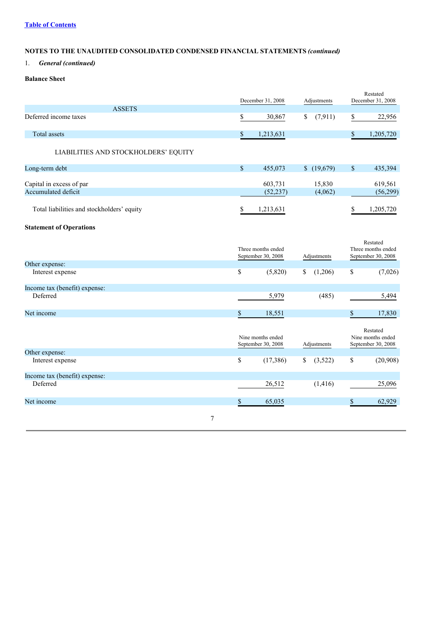# 1. *General (continued)*

**Balance Sheet**

|                                                 | December 31, 2008                        | Adjustments       | Restated<br>December 31, 2008                        |
|-------------------------------------------------|------------------------------------------|-------------------|------------------------------------------------------|
| <b>ASSETS</b>                                   |                                          |                   |                                                      |
| Deferred income taxes                           | \$<br>30,867                             | (7, 911)<br>\$    | \$<br>22,956                                         |
| <b>Total assets</b>                             | \$<br>1,213,631                          |                   | \$<br>1,205,720                                      |
| LIABILITIES AND STOCKHOLDERS' EQUITY            |                                          |                   |                                                      |
| Long-term debt                                  | \$<br>455,073                            | \$(19,679)        | \$<br>435,394                                        |
| Capital in excess of par<br>Accumulated deficit | 603,731<br>(52, 237)                     | 15,830<br>(4,062) | 619,561<br>(56,299)                                  |
| Total liabilities and stockholders' equity      | \$<br>1,213,631                          |                   | \$<br>1,205,720                                      |
| <b>Statement of Operations</b>                  |                                          |                   |                                                      |
|                                                 | Three months ended<br>September 30, 2008 | Adjustments       | Restated<br>Three months ended<br>September 30, 2008 |
| Other expense:                                  |                                          |                   |                                                      |
| Interest expense                                | \$<br>(5,820)                            | \$<br>(1,206)     | \$<br>(7,026)                                        |
| Income tax (benefit) expense:                   |                                          |                   |                                                      |
| Deferred                                        | 5,979                                    | (485)             | 5,494                                                |
| Net income                                      | \$<br>18,551                             |                   | \$<br>17,830                                         |
|                                                 | Nine months ended<br>September 30, 2008  | Adjustments       | Restated<br>Nine months ended<br>September 30, 2008  |
| Other expense:                                  |                                          |                   |                                                      |
| Interest expense                                | \$<br>(17, 386)                          | \$<br>(3,522)     | \$<br>(20,908)                                       |
| Income tax (benefit) expense:                   |                                          |                   |                                                      |
| Deferred                                        | 26,512                                   | (1, 416)          | 25,096                                               |
| Net income                                      | \$<br>65,035                             |                   | \$<br>62,929                                         |
| $\tau$                                          |                                          |                   |                                                      |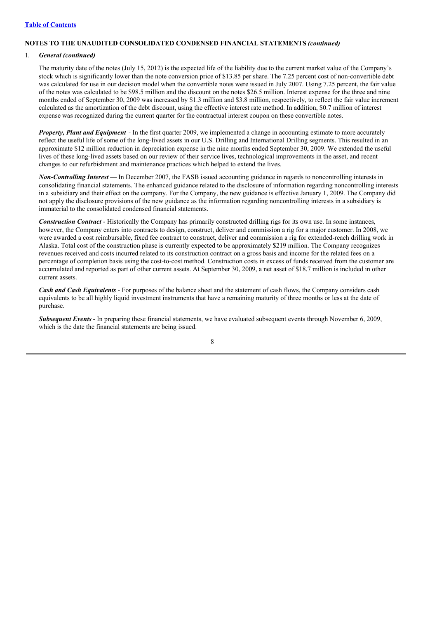#### 1. *General (continued)*

The maturity date of the notes (July 15, 2012) is the expected life of the liability due to the current market value of the Company's stock which is significantly lower than the note conversion price of \$13.85 per share. The 7.25 percent cost of non-convertible debt was calculated for use in our decision model when the convertible notes were issued in July 2007. Using 7.25 percent, the fair value of the notes was calculated to be \$98.5 million and the discount on the notes \$26.5 million. Interest expense for the three and nine months ended of September 30, 2009 was increased by \$1.3 million and \$3.8 million, respectively, to reflect the fair value increment calculated as the amortization of the debt discount, using the effective interest rate method. In addition, \$0.7 million of interest expense was recognized during the current quarter for the contractual interest coupon on these convertible notes.

*Property, Plant and Equipment* - In the first quarter 2009, we implemented a change in accounting estimate to more accurately reflect the useful life of some of the long-lived assets in our U.S. Drilling and International Drilling segments. This resulted in an approximate \$12 million reduction in depreciation expense in the nine months ended September 30, 2009. We extended the useful lives of these long-lived assets based on our review of their service lives, technological improvements in the asset, and recent changes to our refurbishment and maintenance practices which helped to extend the lives.

*Non-Controlling Interest —* In December 2007, the FASB issued accounting guidance in regards to noncontrolling interests in consolidating financial statements. The enhanced guidance related to the disclosure of information regarding noncontrolling interests in a subsidiary and their effect on the company. For the Company, the new guidance is effective January 1, 2009. The Company did not apply the disclosure provisions of the new guidance as the information regarding noncontrolling interests in a subsidiary is immaterial to the consolidated condensed financial statements.

*Construction Contract* - Historically the Company has primarily constructed drilling rigs for its own use. In some instances, however, the Company enters into contracts to design, construct, deliver and commission a rig for a major customer. In 2008, we were awarded a cost reimbursable, fixed fee contract to construct, deliver and commission a rig for extended-reach drilling work in Alaska. Total cost of the construction phase is currently expected to be approximately \$219 million. The Company recognizes revenues received and costs incurred related to its construction contract on a gross basis and income for the related fees on a percentage of completion basis using the cost-to-cost method. Construction costs in excess of funds received from the customer are accumulated and reported as part of other current assets. At September 30, 2009, a net asset of \$18.7 million is included in other current assets.

*Cash and Cash Equivalents* - For purposes of the balance sheet and the statement of cash flows, the Company considers cash equivalents to be all highly liquid investment instruments that have a remaining maturity of three months or less at the date of purchase.

*Subsequent Events* - In preparing these financial statements, we have evaluated subsequent events through November 6, 2009, which is the date the financial statements are being issued.

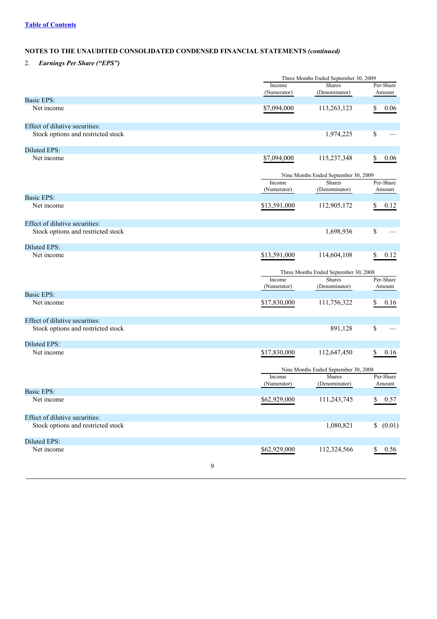# 2. *Earnings Per Share ("EPS")*

|                                    |   |                       | Three Months Ended September 30, 2009 |             |
|------------------------------------|---|-----------------------|---------------------------------------|-------------|
|                                    |   | Income                | <b>Shares</b>                         | Per-Share   |
|                                    |   | (Numerator)           | (Denominator)                         | Amount      |
| <b>Basic EPS:</b><br>Net income    |   | \$7,094,000           | 113,263,123                           | \$<br>0.06  |
|                                    |   |                       |                                       |             |
| Effect of dilutive securities:     |   |                       |                                       |             |
| Stock options and restricted stock |   |                       | 1,974,225                             | \$          |
| Diluted EPS:                       |   |                       |                                       |             |
| Net income                         |   | \$7,094,000           | 115,237,348                           | \$<br>0.06  |
|                                    |   |                       |                                       |             |
|                                    |   |                       | Nine Months Ended September 30, 2009  |             |
|                                    |   | Income                | <b>Shares</b>                         | Per-Share   |
| <b>Basic EPS:</b>                  |   | (Numerator)           | (Denominator)                         | Amount      |
| Net income                         |   | \$13,591,000          | 112,905,172                           | \$<br>0.12  |
|                                    |   |                       |                                       |             |
| Effect of dilutive securities:     |   |                       |                                       |             |
| Stock options and restricted stock |   |                       | 1,698,936                             | \$          |
|                                    |   |                       |                                       |             |
| Diluted EPS:                       |   |                       |                                       |             |
| Net income                         |   | \$13,591,000          | 114,604,108                           | \$<br>0.12  |
|                                    |   |                       |                                       |             |
|                                    |   |                       | Three Months Ended September 30, 2008 | Per-Share   |
|                                    |   | Income<br>(Numerator) | <b>Shares</b><br>(Denominator)        | Amount      |
| <b>Basic EPS:</b>                  |   |                       |                                       |             |
| Net income                         |   | \$17,830,000          | 111,756,322                           | \$<br>0.16  |
|                                    |   |                       |                                       |             |
| Effect of dilutive securities:     |   |                       |                                       |             |
| Stock options and restricted stock |   |                       | 891,128                               | \$          |
|                                    |   |                       |                                       |             |
| Diluted EPS:<br>Net income         |   | \$17,830,000          | 112,647,450                           |             |
|                                    |   |                       |                                       | \$<br>0.16  |
|                                    |   |                       | Nine Months Ended September 30, 2008  |             |
|                                    |   | Income                | <b>Shares</b>                         | Per-Share   |
|                                    |   | (Numerator)           | (Denominator)                         | Amount      |
| <b>Basic EPS:</b>                  |   |                       |                                       |             |
| Net income                         |   | \$62,929,000          | 111,243,745                           | \$<br>0.57  |
|                                    |   |                       |                                       |             |
| Effect of dilutive securities:     |   |                       |                                       |             |
| Stock options and restricted stock |   |                       | 1,080,821                             | \$ (0.01)   |
| Diluted EPS:                       |   |                       |                                       |             |
| Net income                         |   | \$62,929,000          | 112,324,566                           | 0.56<br>\$. |
|                                    |   |                       |                                       |             |
|                                    | 9 |                       |                                       |             |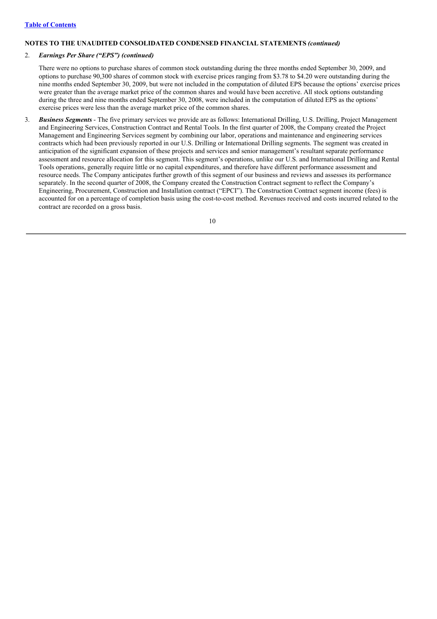#### 2. *Earnings Per Share ("EPS") (continued)*

There were no options to purchase shares of common stock outstanding during the three months ended September 30, 2009, and options to purchase 90,300 shares of common stock with exercise prices ranging from \$3.78 to \$4.20 were outstanding during the nine months ended September 30, 2009, but were not included in the computation of diluted EPS because the options' exercise prices were greater than the average market price of the common shares and would have been accretive. All stock options outstanding during the three and nine months ended September 30, 2008, were included in the computation of diluted EPS as the options' exercise prices were less than the average market price of the common shares.

3. *Business Segments* - The five primary services we provide are as follows: International Drilling, U.S. Drilling, Project Management and Engineering Services, Construction Contract and Rental Tools. In the first quarter of 2008, the Company created the Project Management and Engineering Services segment by combining our labor, operations and maintenance and engineering services contracts which had been previously reported in our U.S. Drilling or International Drilling segments. The segment was created in anticipation of the significant expansion of these projects and services and senior management's resultant separate performance assessment and resource allocation for this segment. This segment's operations, unlike our U.S. and International Drilling and Rental Tools operations, generally require little or no capital expenditures, and therefore have different performance assessment and resource needs. The Company anticipates further growth of this segment of our business and reviews and assesses its performance separately. In the second quarter of 2008, the Company created the Construction Contract segment to reflect the Company's Engineering, Procurement, Construction and Installation contract ("EPCI"). The Construction Contract segment income (fees) is accounted for on a percentage of completion basis using the cost-to-cost method. Revenues received and costs incurred related to the contract are recorded on a gross basis.

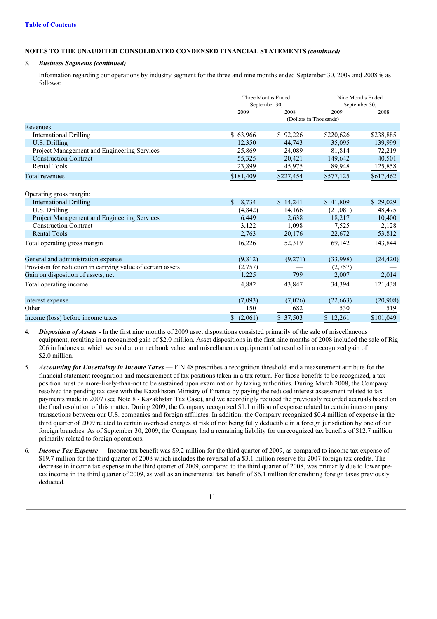#### 3. *Business Segments (continued)*

Information regarding our operations by industry segment for the three and nine months ended September 30, 2009 and 2008 is as follows:

|                                                             | Three Months Ended<br>September 30, |                        | Nine Months Ended<br>September 30, |           |  |
|-------------------------------------------------------------|-------------------------------------|------------------------|------------------------------------|-----------|--|
|                                                             | 2009                                | 2008                   | 2009                               | 2008      |  |
|                                                             |                                     | (Dollars in Thousands) |                                    |           |  |
| Revenues:                                                   |                                     |                        |                                    |           |  |
| <b>International Drilling</b>                               | \$63,966                            | \$92,226               | \$220,626                          | \$238,885 |  |
| U.S. Drilling                                               | 12,350                              | 44,743                 | 35,095                             | 139,999   |  |
| Project Management and Engineering Services                 | 25,869                              | 24,089                 | 81,814                             | 72,219    |  |
| <b>Construction Contract</b>                                | 55,325                              | 20,421                 | 149,642                            | 40,501    |  |
| <b>Rental Tools</b>                                         | 23,899                              | 45,975                 | 89,948                             | 125,858   |  |
| Total revenues                                              | \$181,409                           | \$227,454              | \$577,125                          | \$617,462 |  |
|                                                             |                                     |                        |                                    |           |  |
| Operating gross margin:                                     |                                     |                        |                                    |           |  |
| <b>International Drilling</b>                               | 8,734<br>$\mathbb{S}$               | \$14,241               | \$41,809                           | \$29,029  |  |
| U.S. Drilling                                               | (4, 842)                            | 14,166                 | (21,081)                           | 48,475    |  |
| Project Management and Engineering Services                 | 6,449                               | 2,638                  | 18,217                             | 10,400    |  |
| <b>Construction Contract</b>                                | 3,122                               | 1,098                  | 7,525                              | 2,128     |  |
| <b>Rental Tools</b>                                         | 2,763                               | 20,176                 | 22,672                             | 53,812    |  |
| Total operating gross margin                                | 16,226                              | 52,319                 | 69,142                             | 143,844   |  |
| General and administration expense                          | (9,812)                             | (9,271)                | (33,998)                           | (24, 420) |  |
| Provision for reduction in carrying value of certain assets | (2,757)                             |                        | (2,757)                            |           |  |
| Gain on disposition of assets, net                          | 1,225                               | 799                    | 2,007                              | 2,014     |  |
| Total operating income                                      | 4,882                               | 43,847                 | 34,394                             | 121,438   |  |
| Interest expense                                            | (7,093)                             | (7,026)                | (22,663)                           | (20,908)  |  |
| Other                                                       | 150                                 | 682                    | 530                                | 519       |  |
| Income (loss) before income taxes                           | (2,061)<br>$\mathbb{S}^-$           | \$37,503               | \$12,261                           | \$101,049 |  |

4. *Disposition of Assets* - In the first nine months of 2009 asset dispositions consisted primarily of the sale of miscellaneous equipment, resulting in a recognized gain of \$2.0 million. Asset dispositions in the first nine months of 2008 included the sale of Rig 206 in Indonesia, which we sold at our net book value, and miscellaneous equipment that resulted in a recognized gain of \$2.0 million.

- 5. *Accounting for Uncertainty in Income Taxes —* FIN 48 prescribes a recognition threshold and a measurement attribute for the financial statement recognition and measurement of tax positions taken in a tax return. For those benefits to be recognized, a tax position must be more-likely-than-not to be sustained upon examination by taxing authorities. During March 2008, the Company resolved the pending tax case with the Kazakhstan Ministry of Finance by paying the reduced interest assessment related to tax payments made in 2007 (see Note 8 - Kazakhstan Tax Case), and we accordingly reduced the previously recorded accruals based on the final resolution of this matter. During 2009, the Company recognized \$1.1 million of expense related to certain intercompany transactions between our U.S. companies and foreign affiliates. In addition, the Company recognized \$0.4 million of expense in the third quarter of 2009 related to certain overhead charges at risk of not being fully deductible in a foreign jurisdiction by one of our foreign branches. As of September 30, 2009, the Company had a remaining liability for unrecognized tax benefits of \$12.7 million primarily related to foreign operations.
- 6. *Income Tax Expense —* Income tax benefit was \$9.2 million for the third quarter of 2009, as compared to income tax expense of \$19.7 million for the third quarter of 2008 which includes the reversal of a \$3.1 million reserve for 2007 foreign tax credits. The decrease in income tax expense in the third quarter of 2009, compared to the third quarter of 2008, was primarily due to lower pretax income in the third quarter of 2009, as well as an incremental tax benefit of \$6.1 million for crediting foreign taxes previously deducted.

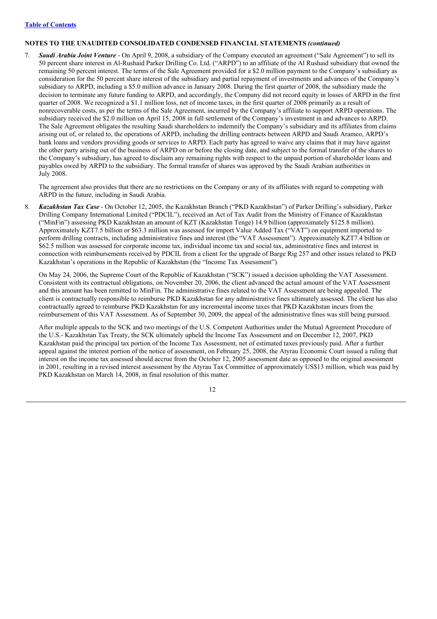#### **Table of Contents**

## **NOTES TO THE UNAUDITED CONSOLIDATED CONDENSED FINANCIAL STATEMENTS** *(continued)*

7. *Saudi Arabia Joint Venture* - On April 9, 2008, a subsidiary of the Company executed an agreement ("Sale Agreement") to sell its 50 percent share interest in Al-Rushaid Parker Drilling Co. Ltd. ("ARPD") to an affiliate of the Al Rushaid subsidiary that owned the remaining 50 percent interest. The terms of the Sale Agreement provided for a \$2.0 million payment to the Company's subsidiary as consideration for the 50 percent share interest of the subsidiary and partial repayment of investments and advances of the Company's subsidiary to ARPD, including a \$5.0 million advance in January 2008. During the first quarter of 2008, the subsidiary made the decision to terminate any future funding to ARPD, and accordingly, the Company did not record equity in losses of ARPD in the first quarter of 2008. We recognized a \$1.1 million loss, net of income taxes, in the first quarter of 2008 primarily as a result of nonrecoverable costs, as per the terms of the Sale Agreement, incurred by the Company's affiliate to support ARPD operations. The subsidiary received the \$2.0 million on April 15, 2008 in full settlement of the Company's investment in and advances to ARPD. The Sale Agreement obligates the resulting Saudi shareholders to indemnify the Company's subsidiary and its affiliates from claims arising out of, or related to, the operations of ARPD, including the drilling contracts between ARPD and Saudi Aramco, ARPD's bank loans and vendors providing goods or services to ARPD. Each party has agreed to waive any claims that it may have against the other party arising out of the business of ARPD on or before the closing date, and subject to the formal transfer of the shares to the Company's subsidiary, has agreed to disclaim any remaining rights with respect to the unpaid portion of shareholder loans and payables owed by ARPD to the subsidiary. The formal transfer of shares was approved by the Saudi Arabian authorities in July 2008.

The agreement also provides that there are no restrictions on the Company or any of its affiliates with regard to competing with ARPD in the future, including in Saudi Arabia.

8. *Kazakhstan Tax Case* - On October 12, 2005, the Kazakhstan Branch ("PKD Kazakhstan") of Parker Drilling's subsidiary, Parker Drilling Company International Limited ("PDCIL"), received an Act of Tax Audit from the Ministry of Finance of Kazakhstan ("MinFin") assessing PKD Kazakhstan an amount of KZT (Kazakhstan Tenge) 14.9 billion (approximately \$125.8 million). Approximately KZT7.5 billion or \$63.3 million was assessed for import Value Added Tax ("VAT") on equipment imported to perform drilling contracts, including administrative fines and interest (the "VAT Assessment"). Approximately KZT7.4 billion or \$62.5 million was assessed for corporate income tax, individual income tax and social tax, administrative fines and interest in connection with reimbursements received by PDCIL from a client for the upgrade of Barge Rig 257 and other issues related to PKD Kazakhstan's operations in the Republic of Kazakhstan (the "Income Tax Assessment").

On May 24, 2006, the Supreme Court of the Republic of Kazakhstan ("SCK") issued a decision upholding the VAT Assessment. Consistent with its contractual obligations, on November 20, 2006, the client advanced the actual amount of the VAT Assessment and this amount has been remitted to MinFin. The administrative fines related to the VAT Assessment are being appealed. The client is contractually responsible to reimburse PKD Kazakhstan for any administrative fines ultimately assessed. The client has also contractually agreed to reimburse PKD Kazakhstan for any incremental income taxes that PKD Kazakhstan incurs from the reimbursement of this VAT Assessment. As of September 30, 2009, the appeal of the administrative fines was still being pursued.

After multiple appeals to the SCK and two meetings of the U.S. Competent Authorities under the Mutual Agreement Procedure of the U.S.- Kazakhstan Tax Treaty, the SCK ultimately upheld the Income Tax Assessment and on December 12, 2007, PKD Kazakhstan paid the principal tax portion of the Income Tax Assessment, net of estimated taxes previously paid. After a further appeal against the interest portion of the notice of assessment, on February 25, 2008, the Atyrau Economic Court issued a ruling that interest on the income tax assessed should accrue from the October 12, 2005 assessment date as opposed to the original assessment in 2001, resulting in a revised interest assessment by the Atyrau Tax Committee of approximately US\$13 million, which was paid by PKD Kazakhstan on March 14, 2008, in final resolution of this matter.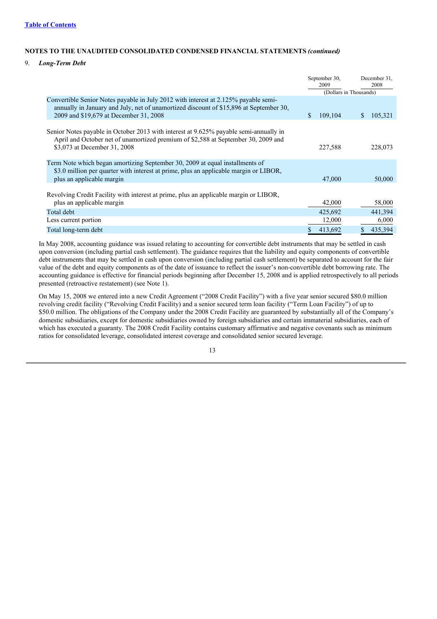#### 9. *Long-Term Debt*

|                                                                                                                                                                                                                         | September 30,<br>2009 | December 31,<br>2008<br>(Dollars in Thousands) |
|-------------------------------------------------------------------------------------------------------------------------------------------------------------------------------------------------------------------------|-----------------------|------------------------------------------------|
| Convertible Senior Notes payable in July 2012 with interest at 2.125% payable semi-<br>annually in January and July, net of unamortized discount of \$15,896 at September 30,<br>2009 and \$19,679 at December 31, 2008 | \$<br>109,104         | 105,321<br>S                                   |
| Senior Notes payable in October 2013 with interest at 9.625% payable semi-annually in<br>April and October net of unamortized premium of \$2,588 at September 30, 2009 and<br>\$3,073 at December 31, 2008              | 227,588               | 228,073                                        |
| Term Note which began amortizing September 30, 2009 at equal installments of<br>\$3.0 million per quarter with interest at prime, plus an applicable margin or LIBOR,<br>plus an applicable margin                      | 47,000                | 50,000                                         |
| Revolving Credit Facility with interest at prime, plus an applicable margin or LIBOR,<br>plus an applicable margin                                                                                                      | 42,000                | 58,000                                         |
| Total debt                                                                                                                                                                                                              | 425,692               | 441,394                                        |
| Less current portion                                                                                                                                                                                                    | 12,000                | 6,000                                          |
| Total long-term debt                                                                                                                                                                                                    | 413,692               | 435,394                                        |

In May 2008, accounting guidance was issued relating to accounting for convertible debt instruments that may be settled in cash upon conversion (including partial cash settlement). The guidance requires that the liability and equity components of convertible debt instruments that may be settled in cash upon conversion (including partial cash settlement) be separated to account for the fair value of the debt and equity components as of the date of issuance to reflect the issuer's non-convertible debt borrowing rate. The accounting guidance is effective for financial periods beginning after December 15, 2008 and is applied retrospectively to all periods presented (retroactive restatement) (see Note 1).

On May 15, 2008 we entered into a new Credit Agreement ("2008 Credit Facility") with a five year senior secured \$80.0 million revolving credit facility ("Revolving Credit Facility) and a senior secured term loan facility ("Term Loan Facility") of up to \$50.0 million. The obligations of the Company under the 2008 Credit Facility are guaranteed by substantially all of the Company's domestic subsidiaries, except for domestic subsidiaries owned by foreign subsidiaries and certain immaterial subsidiaries, each of which has executed a guaranty. The 2008 Credit Facility contains customary affirmative and negative covenants such as minimum ratios for consolidated leverage, consolidated interest coverage and consolidated senior secured leverage.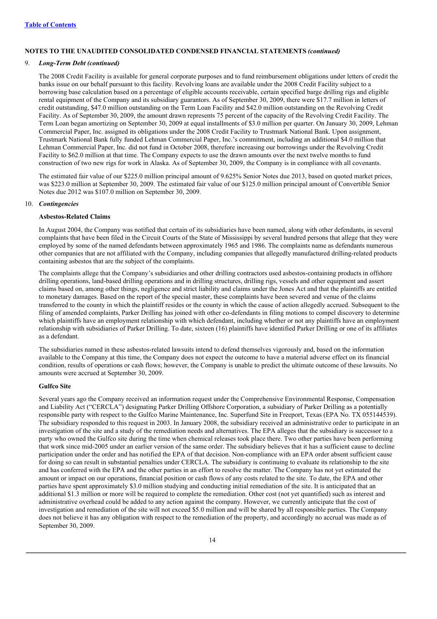#### 9. *Long-Term Debt (continued)*

The 2008 Credit Facility is available for general corporate purposes and to fund reimbursement obligations under letters of credit the banks issue on our behalf pursuant to this facility. Revolving loans are available under the 2008 Credit Facility subject to a borrowing base calculation based on a percentage of eligible accounts receivable, certain specified barge drilling rigs and eligible rental equipment of the Company and its subsidiary guarantors. As of September 30, 2009, there were \$17.7 million in letters of credit outstanding, \$47.0 million outstanding on the Term Loan Facility and \$42.0 million outstanding on the Revolving Credit Facility. As of September 30, 2009, the amount drawn represents 75 percent of the capacity of the Revolving Credit Facility. The Term Loan began amortizing on September 30, 2009 at equal installments of \$3.0 million per quarter. On January 30, 2009, Lehman Commercial Paper, Inc. assigned its obligations under the 2008 Credit Facility to Trustmark National Bank. Upon assignment, Trustmark National Bank fully funded Lehman Commercial Paper, Inc.'s commitment, including an additional \$4.0 million that Lehman Commercial Paper, Inc. did not fund in October 2008, therefore increasing our borrowings under the Revolving Credit Facility to \$62.0 million at that time. The Company expects to use the drawn amounts over the next twelve months to fund construction of two new rigs for work in Alaska. As of September 30, 2009, the Company is in compliance with all covenants.

The estimated fair value of our \$225.0 million principal amount of 9.625% Senior Notes due 2013, based on quoted market prices, was \$223.0 million at September 30, 2009. The estimated fair value of our \$125.0 million principal amount of Convertible Senior Notes due 2012 was \$107.0 million on September 30, 2009.

#### 10. *Contingencies*

#### **Asbestos-Related Claims**

In August 2004, the Company was notified that certain of its subsidiaries have been named, along with other defendants, in several complaints that have been filed in the Circuit Courts of the State of Mississippi by several hundred persons that allege that they were employed by some of the named defendants between approximately 1965 and 1986. The complaints name as defendants numerous other companies that are not affiliated with the Company, including companies that allegedly manufactured drilling-related products containing asbestos that are the subject of the complaints.

The complaints allege that the Company's subsidiaries and other drilling contractors used asbestos-containing products in offshore drilling operations, land-based drilling operations and in drilling structures, drilling rigs, vessels and other equipment and assert claims based on, among other things, negligence and strict liability and claims under the Jones Act and that the plaintiffs are entitled to monetary damages. Based on the report of the special master, these complaints have been severed and venue of the claims transferred to the county in which the plaintiff resides or the county in which the cause of action allegedly accrued. Subsequent to the filing of amended complaints, Parker Drilling has joined with other co-defendants in filing motions to compel discovery to determine which plaintiffs have an employment relationship with which defendant, including whether or not any plaintiffs have an employment relationship with subsidiaries of Parker Drilling. To date, sixteen (16) plaintiffs have identified Parker Drilling or one of its affiliates as a defendant.

The subsidiaries named in these asbestos-related lawsuits intend to defend themselves vigorously and, based on the information available to the Company at this time, the Company does not expect the outcome to have a material adverse effect on its financial condition, results of operations or cash flows; however, the Company is unable to predict the ultimate outcome of these lawsuits. No amounts were accrued at September 30, 2009.

#### **Gulfco Site**

Several years ago the Company received an information request under the Comprehensive Environmental Response, Compensation and Liability Act ("CERCLA") designating Parker Drilling Offshore Corporation, a subsidiary of Parker Drilling as a potentially responsible party with respect to the Gulfco Marine Maintenance, Inc. Superfund Site in Freeport, Texas (EPA No. TX 055144539). The subsidiary responded to this request in 2003. In January 2008, the subsidiary received an administrative order to participate in an investigation of the site and a study of the remediation needs and alternatives. The EPA alleges that the subsidiary is successor to a party who owned the Gulfco site during the time when chemical releases took place there. Two other parties have been performing that work since mid-2005 under an earlier version of the same order. The subsidiary believes that it has a sufficient cause to decline participation under the order and has notified the EPA of that decision. Non-compliance with an EPA order absent sufficient cause for doing so can result in substantial penalties under CERCLA. The subsidiary is continuing to evaluate its relationship to the site and has conferred with the EPA and the other parties in an effort to resolve the matter. The Company has not yet estimated the amount or impact on our operations, financial position or cash flows of any costs related to the site. To date, the EPA and other parties have spent approximately \$3.0 million studying and conducting initial remediation of the site. It is anticipated that an additional \$1.3 million or more will be required to complete the remediation. Other cost (not yet quantified) such as interest and administrative overhead could be added to any action against the company. However, we currently anticipate that the cost of investigation and remediation of the site will not exceed \$5.0 million and will be shared by all responsible parties. The Company does not believe it has any obligation with respect to the remediation of the property, and accordingly no accrual was made as of September 30, 2009.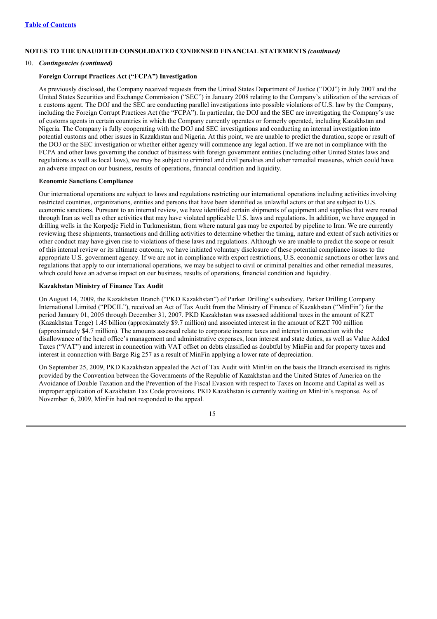#### 10. *Contingencies (continued)*

#### **Foreign Corrupt Practices Act ("FCPA") Investigation**

As previously disclosed, the Company received requests from the United States Department of Justice ("DOJ") in July 2007 and the United States Securities and Exchange Commission ("SEC") in January 2008 relating to the Company's utilization of the services of a customs agent. The DOJ and the SEC are conducting parallel investigations into possible violations of U.S. law by the Company, including the Foreign Corrupt Practices Act (the "FCPA"). In particular, the DOJ and the SEC are investigating the Company's use of customs agents in certain countries in which the Company currently operates or formerly operated, including Kazakhstan and Nigeria. The Company is fully cooperating with the DOJ and SEC investigations and conducting an internal investigation into potential customs and other issues in Kazakhstan and Nigeria. At this point, we are unable to predict the duration, scope or result of the DOJ or the SEC investigation or whether either agency will commence any legal action. If we are not in compliance with the FCPA and other laws governing the conduct of business with foreign government entities (including other United States laws and regulations as well as local laws), we may be subject to criminal and civil penalties and other remedial measures, which could have an adverse impact on our business, results of operations, financial condition and liquidity.

#### **Economic Sanctions Compliance**

Our international operations are subject to laws and regulations restricting our international operations including activities involving restricted countries, organizations, entities and persons that have been identified as unlawful actors or that are subject to U.S. economic sanctions. Pursuant to an internal review, we have identified certain shipments of equipment and supplies that were routed through Iran as well as other activities that may have violated applicable U.S. laws and regulations. In addition, we have engaged in drilling wells in the Korpedje Field in Turkmenistan, from where natural gas may be exported by pipeline to Iran. We are currently reviewing these shipments, transactions and drilling activities to determine whether the timing, nature and extent of such activities or other conduct may have given rise to violations of these laws and regulations. Although we are unable to predict the scope or result of this internal review or its ultimate outcome, we have initiated voluntary disclosure of these potential compliance issues to the appropriate U.S. government agency. If we are not in compliance with export restrictions, U.S. economic sanctions or other laws and regulations that apply to our international operations, we may be subject to civil or criminal penalties and other remedial measures, which could have an adverse impact on our business, results of operations, financial condition and liquidity.

#### **Kazakhstan Ministry of Finance Tax Audit**

On August 14, 2009, the Kazakhstan Branch ("PKD Kazakhstan") of Parker Drilling's subsidiary, Parker Drilling Company International Limited ("PDCIL"), received an Act of Tax Audit from the Ministry of Finance of Kazakhstan ("MinFin") for the period January 01, 2005 through December 31, 2007. PKD Kazakhstan was assessed additional taxes in the amount of KZT (Kazakhstan Tenge) 1.45 billion (approximately \$9.7 million) and associated interest in the amount of KZT 700 million (approximately \$4.7 million). The amounts assessed relate to corporate income taxes and interest in connection with the disallowance of the head office's management and administrative expenses, loan interest and state duties, as well as Value Added Taxes ("VAT") and interest in connection with VAT offset on debts classified as doubtful by MinFin and for property taxes and interest in connection with Barge Rig 257 as a result of MinFin applying a lower rate of depreciation.

On September 25, 2009, PKD Kazakhstan appealed the Act of Tax Audit with MinFin on the basis the Branch exercised its rights provided by the Convention between the Governments of the Republic of Kazakhstan and the United States of America on the Avoidance of Double Taxation and the Prevention of the Fiscal Evasion with respect to Taxes on Income and Capital as well as improper application of Kazakhstan Tax Code provisions. PKD Kazakhstan is currently waiting on MinFin's response. As of November 6, 2009, MinFin had not responded to the appeal.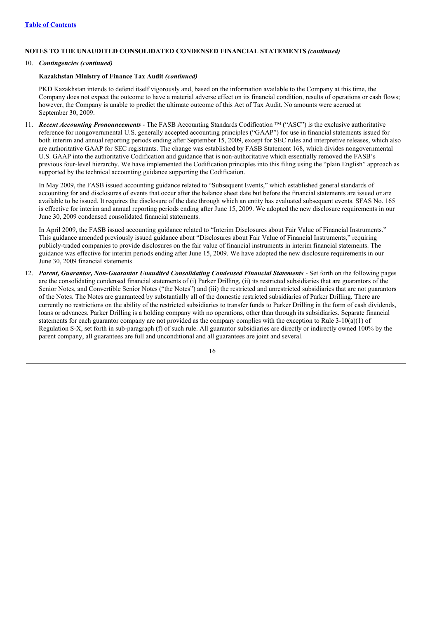#### 10. *Contingencies (continued)*

#### **Kazakhstan Ministry of Finance Tax Audit** *(continued)*

PKD Kazakhstan intends to defend itself vigorously and, based on the information available to the Company at this time, the Company does not expect the outcome to have a material adverse effect on its financial condition, results of operations or cash flows; however, the Company is unable to predict the ultimate outcome of this Act of Tax Audit. No amounts were accrued at September 30, 2009.

11. *Recent Accounting Pronouncements* - The FASB Accounting Standards Codification ™ ("ASC") is the exclusive authoritative reference for nongovernmental U.S. generally accepted accounting principles ("GAAP") for use in financial statements issued for both interim and annual reporting periods ending after September 15, 2009, except for SEC rules and interpretive releases, which also are authoritative GAAP for SEC registrants. The change was established by FASB Statement 168, which divides nongovernmental U.S. GAAP into the authoritative Codification and guidance that is non-authoritative which essentially removed the FASB's previous four-level hierarchy. We have implemented the Codification principles into this filing using the "plain English" approach as supported by the technical accounting guidance supporting the Codification.

In May 2009, the FASB issued accounting guidance related to "Subsequent Events," which established general standards of accounting for and disclosures of events that occur after the balance sheet date but before the financial statements are issued or are available to be issued. It requires the disclosure of the date through which an entity has evaluated subsequent events. SFAS No. 165 is effective for interim and annual reporting periods ending after June 15, 2009. We adopted the new disclosure requirements in our June 30, 2009 condensed consolidated financial statements.

In April 2009, the FASB issued accounting guidance related to "Interim Disclosures about Fair Value of Financial Instruments." This guidance amended previously issued guidance about "Disclosures about Fair Value of Financial Instruments," requiring publicly-traded companies to provide disclosures on the fair value of financial instruments in interim financial statements. The guidance was effective for interim periods ending after June 15, 2009. We have adopted the new disclosure requirements in our June 30, 2009 financial statements.

12. *Parent, Guarantor, Non-Guarantor Unaudited Consolidating Condensed Financial Statements* - Set forth on the following pages are the consolidating condensed financial statements of (i) Parker Drilling, (ii) its restricted subsidiaries that are guarantors of the Senior Notes, and Convertible Senior Notes ("the Notes") and (iii) the restricted and unrestricted subsidiaries that are not guarantors of the Notes. The Notes are guaranteed by substantially all of the domestic restricted subsidiaries of Parker Drilling. There are currently no restrictions on the ability of the restricted subsidiaries to transfer funds to Parker Drilling in the form of cash dividends, loans or advances. Parker Drilling is a holding company with no operations, other than through its subsidiaries. Separate financial statements for each guarantor company are not provided as the company complies with the exception to Rule 3-10(a)(1) of Regulation S-X, set forth in sub-paragraph (f) of such rule. All guarantor subsidiaries are directly or indirectly owned 100% by the parent company, all guarantees are full and unconditional and all guarantees are joint and several.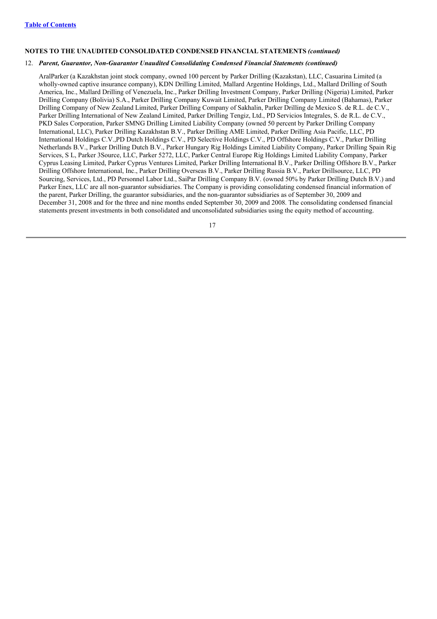#### 12. *Parent, Guarantor, Non-Guarantor Unaudited Consolidating Condensed Financial Statements (continued)*

AralParker (a Kazakhstan joint stock company, owned 100 percent by Parker Drilling (Kazakstan), LLC, Casuarina Limited (a wholly-owned captive insurance company), KDN Drilling Limited, Mallard Argentine Holdings, Ltd., Mallard Drilling of South America, Inc., Mallard Drilling of Venezuela, Inc., Parker Drilling Investment Company, Parker Drilling (Nigeria) Limited, Parker Drilling Company (Bolivia) S.A., Parker Drilling Company Kuwait Limited, Parker Drilling Company Limited (Bahamas), Parker Drilling Company of New Zealand Limited, Parker Drilling Company of Sakhalin, Parker Drilling de Mexico S. de R.L. de C.V., Parker Drilling International of New Zealand Limited, Parker Drilling Tengiz, Ltd., PD Servicios Integrales, S. de R.L. de C.V., PKD Sales Corporation, Parker SMNG Drilling Limited Liability Company (owned 50 percent by Parker Drilling Company International, LLC), Parker Drilling Kazakhstan B.V., Parker Drilling AME Limited, Parker Drilling Asia Pacific, LLC, PD International Holdings C.V.,PD Dutch Holdings C.V., PD Selective Holdings C.V., PD Offshore Holdings C.V., Parker Drilling Netherlands B.V., Parker Drilling Dutch B.V., Parker Hungary Rig Holdings Limited Liability Company, Parker Drilling Spain Rig Services, S L, Parker 3Source, LLC, Parker 5272, LLC, Parker Central Europe Rig Holdings Limited Liability Company, Parker Cyprus Leasing Limited, Parker Cyprus Ventures Limited, Parker Drilling International B.V., Parker Drilling Offshore B.V., Parker Drilling Offshore International, Inc., Parker Drilling Overseas B.V., Parker Drilling Russia B.V., Parker Drillsource, LLC, PD Sourcing, Services, Ltd., PD Personnel Labor Ltd., SaiPar Drilling Company B.V. (owned 50% by Parker Drilling Dutch B.V.) and Parker Enex, LLC are all non-guarantor subsidiaries. The Company is providing consolidating condensed financial information of the parent, Parker Drilling, the guarantor subsidiaries, and the non-guarantor subsidiaries as of September 30, 2009 and December 31, 2008 and for the three and nine months ended September 30, 2009 and 2008. The consolidating condensed financial statements present investments in both consolidated and unconsolidated subsidiaries using the equity method of accounting.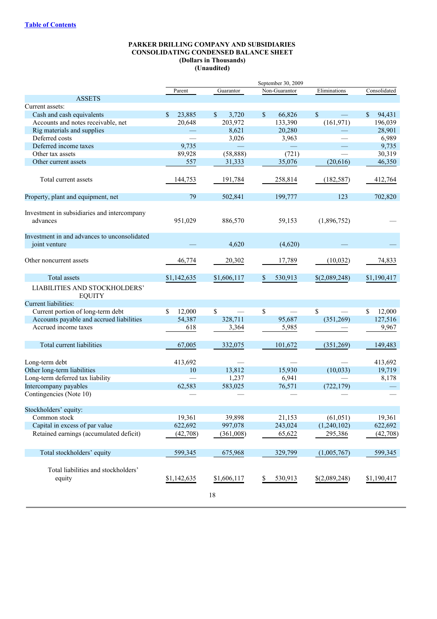## **PARKER DRILLING COMPANY AND SUBSIDIARIES CONSOLIDATING CONDENSED BALANCE SHEET (Dollars in Thousands) (Unaudited)**

|                                                               |                         |                   | September 30, 2009     |               |              |
|---------------------------------------------------------------|-------------------------|-------------------|------------------------|---------------|--------------|
|                                                               | Parent                  | Guarantor         | Non-Guarantor          | Eliminations  | Consolidated |
| <b>ASSETS</b>                                                 |                         |                   |                        |               |              |
| Current assets:                                               |                         |                   |                        |               |              |
| Cash and cash equivalents                                     | <sup>\$</sup><br>23,885 | \$<br>3,720       | $\mathbb{S}$<br>66,826 | $\mathbb{S}$  | \$<br>94,431 |
| Accounts and notes receivable, net                            | 20,648                  | 203,972           | 133,390                | (161, 971)    | 196,039      |
| Rig materials and supplies                                    |                         | 8,621             | 20,280                 |               | 28,901       |
| Deferred costs                                                |                         | 3,026             | 3,963                  |               | 6,989        |
| Deferred income taxes                                         | 9,735                   |                   |                        |               | 9,735        |
| Other tax assets                                              | 89,928                  | (58, 888)         | (721)                  |               | 30,319       |
| Other current assets                                          | 557                     | 31,333            | 35,076                 | (20,616)      | 46,350       |
| Total current assets                                          | 144,753                 | 191,784           | 258,814                | (182, 587)    | 412,764      |
| Property, plant and equipment, net                            | 79                      | 502,841           | 199,777                | 123           | 702,820      |
| Investment in subsidiaries and intercompany<br>advances       | 951,029                 | 886,570           | 59,153                 | (1,896,752)   |              |
| Investment in and advances to unconsolidated<br>joint venture |                         | 4,620             | (4,620)                |               |              |
| Other noncurrent assets                                       | 46,774                  | 20,302            | 17,789                 | (10, 032)     | 74,833       |
| <b>Total</b> assets                                           | \$1,142,635             | \$1,606,117       | 530,913<br>S.          | \$(2,089,248) | \$1,190,417  |
| LIABILITIES AND STOCKHOLDERS'<br><b>EQUITY</b>                |                         |                   |                        |               |              |
| Current liabilities:                                          |                         |                   |                        |               |              |
| Current portion of long-term debt                             | 12,000<br>S             | \$                | \$                     | $\mathbb{S}$  | \$<br>12,000 |
| Accounts payable and accrued liabilities                      | 54,387                  | 328,711           | 95,687                 | (351,269)     | 127,516      |
| Accrued income taxes                                          | 618                     | 3,364             | 5,985                  |               | 9,967        |
| Total current liabilities                                     | 67,005                  | 332,075           | 101,672                | (351,269)     | 149,483      |
| Long-term debt                                                | 413,692                 |                   |                        |               | 413,692      |
| Other long-term liabilities                                   | 10                      | 13,812            | 15,930                 | (10, 033)     | 19,719       |
| Long-term deferred tax liability                              |                         | 1,237             | 6,941                  |               | 8,178        |
| Intercompany payables                                         | 62,583                  | 583,025           | 76,571                 | (722, 179)    |              |
| Contingencies (Note 10)                                       |                         |                   |                        |               |              |
| Stockholders' equity:                                         |                         |                   |                        |               |              |
| Common stock                                                  | 19,361                  | 39,898            | 21,153                 | (61, 051)     | 19,361       |
| Capital in excess of par value                                | 622,692                 | 997,078           | 243,024                | (1,240,102)   | 622,692      |
| Retained earnings (accumulated deficit)                       | (42,708)                | (361,008)         | 65,622                 | 295,386       | (42,708)     |
| Total stockholders' equity                                    | 599,345                 | 675,968           | 329,799                | (1,005,767)   | 599,345      |
| Total liabilities and stockholders'<br>equity                 | \$1,142,635             | \$1,606,117<br>18 | \$<br>530,913          | \$(2,089,248) | \$1,190,417  |
|                                                               |                         |                   |                        |               |              |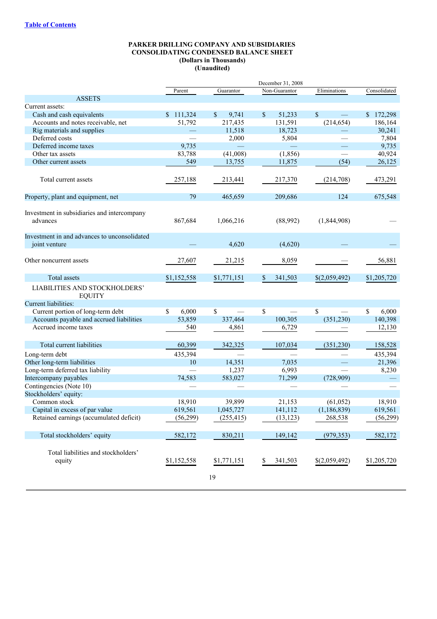## **PARKER DRILLING COMPANY AND SUBSIDIARIES CONSOLIDATING CONDENSED BALANCE SHEET (Dollars in Thousands) (Unaudited)**

|                                                         | December 31, 2008 |                   |                        |               |              |
|---------------------------------------------------------|-------------------|-------------------|------------------------|---------------|--------------|
|                                                         | Parent            | Guarantor         | Non-Guarantor          | Eliminations  | Consolidated |
| <b>ASSETS</b>                                           |                   |                   |                        |               |              |
| Current assets:                                         |                   |                   |                        |               |              |
| Cash and cash equivalents                               | \$111,324         | \$<br>9,741       | $\mathbb{S}$<br>51,233 | $\mathbb{S}$  | \$172,298    |
| Accounts and notes receivable, net                      | 51,792            | 217,435           | 131,591                | (214, 654)    | 186,164      |
| Rig materials and supplies                              |                   | 11,518            | 18,723                 |               | 30,241       |
| Deferred costs                                          |                   | 2,000             | 5,804                  |               | 7,804        |
| Deferred income taxes                                   | 9,735             |                   |                        |               | 9,735        |
| Other tax assets                                        | 83,788            | (41,008)          | (1, 856)               |               | 40,924       |
| Other current assets                                    | 549               | 13,755            | 11,875                 | (54)          | 26,125       |
| Total current assets                                    | 257,188           | 213,441           | 217,370                | (214,708)     | 473,291      |
| Property, plant and equipment, net                      | 79                | 465,659           | 209,686                | 124           | 675,548      |
| Investment in subsidiaries and intercompany<br>advances | 867,684           | 1,066,216         | (88,992)               | (1,844,908)   |              |
| Investment in and advances to unconsolidated            |                   |                   |                        |               |              |
| joint venture                                           |                   | 4,620             | (4,620)                |               |              |
| Other noncurrent assets                                 | 27,607            | 21,215            | 8,059                  |               | 56,881       |
| <b>Total</b> assets                                     | \$1,152,558       | \$1,771,151       | S.<br>341,503          | \$(2,059,492) | \$1,205,720  |
| LIABILITIES AND STOCKHOLDERS'<br><b>EQUITY</b>          |                   |                   |                        |               |              |
| Current liabilities:                                    |                   |                   |                        |               |              |
| Current portion of long-term debt                       | S.<br>6,000       | \$                | \$                     | $\mathbb{S}$  | \$<br>6,000  |
| Accounts payable and accrued liabilities                | 53,859            | 337,464           | 100,305                | (351, 230)    | 140,398      |
| Accrued income taxes                                    | 540               | 4,861             | 6,729                  |               | 12,130       |
| Total current liabilities                               | 60,399            | 342,325           | 107,034                | (351, 230)    | 158,528      |
| Long-term debt                                          | 435,394           |                   |                        |               | 435,394      |
| Other long-term liabilities                             | 10                | 14,351            | 7,035                  |               | 21,396       |
| Long-term deferred tax liability                        |                   | 1,237             | 6,993                  |               | 8,230        |
| Intercompany payables                                   | 74,583            | 583,027           | 71,299                 | (728,909)     |              |
| Contingencies (Note 10)                                 |                   |                   |                        |               |              |
| Stockholders' equity:                                   |                   |                   |                        |               |              |
| Common stock                                            | 18,910            | 39,899            | 21,153                 | (61, 052)     | 18,910       |
| Capital in excess of par value                          | 619,561           | 1,045,727         | 141,112                | (1, 186, 839) | 619,561      |
| Retained earnings (accumulated deficit)                 | (56,299)          | (255, 415)        | (13, 123)              | 268,538       | (56,299)     |
| Total stockholders' equity                              | 582,172           | 830,211           | 149,142                | (979, 353)    | 582,172      |
| Total liabilities and stockholders'<br>equity           | \$1,152,558       | \$1,771,151<br>19 | \$<br>341,503          | \$(2,059,492) | \$1,205,720  |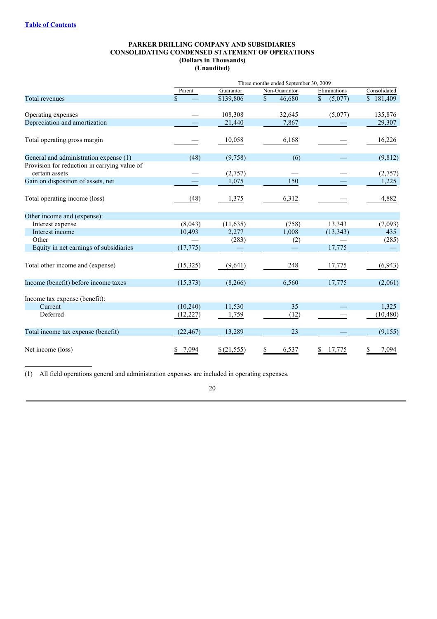|                                                                | Three months ended September 30, 2009 |             |               |               |              |  |
|----------------------------------------------------------------|---------------------------------------|-------------|---------------|---------------|--------------|--|
|                                                                | Parent                                | Guarantor   | Non-Guarantor | Eliminations  | Consolidated |  |
| Total revenues                                                 | $\mathbb{S}$                          | \$139,806   | \$<br>46,680  | \$<br>(5,077) | \$181,409    |  |
| Operating expenses                                             |                                       | 108,308     | 32,645        | (5,077)       | 135,876      |  |
| Depreciation and amortization                                  |                                       | 21,440      | 7,867         |               | 29,307       |  |
| Total operating gross margin                                   |                                       | 10,058      | 6,168         |               | 16,226       |  |
| General and administration expense (1)                         | (48)                                  | (9,758)     | (6)           |               | (9, 812)     |  |
| Provision for reduction in carrying value of<br>certain assets |                                       | (2,757)     |               |               | (2,757)      |  |
| Gain on disposition of assets, net                             |                                       | 1,075       | 150           |               | 1,225        |  |
| Total operating income (loss)                                  | (48)                                  | 1,375       | 6,312         |               | 4,882        |  |
| Other income and (expense):                                    |                                       |             |               |               |              |  |
| Interest expense                                               | (8,043)                               | (11, 635)   | (758)         | 13,343        | (7,093)      |  |
| Interest income                                                | 10,493                                | 2,277       | 1,008         | (13, 343)     | 435          |  |
| Other                                                          |                                       | (283)       | (2)           |               | (285)        |  |
| Equity in net earnings of subsidiaries                         | (17, 775)                             |             |               | 17,775        |              |  |
| Total other income and (expense)                               | (15,325)                              | (9,641)     | 248           | 17,775        | (6, 943)     |  |
| Income (benefit) before income taxes                           | (15,373)                              | (8,266)     | 6,560         | 17,775        | (2,061)      |  |
| Income tax expense (benefit):                                  |                                       |             |               |               |              |  |
| Current                                                        | (10, 240)                             | 11,530      | 35            |               | 1,325        |  |
| Deferred                                                       | (12,227)                              | 1,759       | (12)          |               | (10, 480)    |  |
| Total income tax expense (benefit)                             | (22, 467)                             | 13,289      | 23            |               | (9,155)      |  |
| Net income (loss)                                              | 7,094                                 | \$(21, 555) | \$<br>6,537   | 17,775        | \$<br>7,094  |  |

(1) All field operations general and administration expenses are included in operating expenses.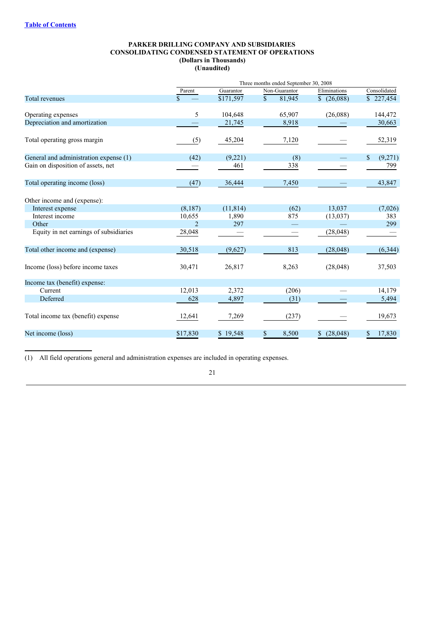| Parent         | Guarantor | Non-Guarantor          | Eliminations   | Consolidated                                                   |
|----------------|-----------|------------------------|----------------|----------------------------------------------------------------|
| $\mathbf{\$}$  | \$171,597 | $\mathbb{S}$<br>81,945 | \$(26,088)     | \$227,454                                                      |
| 5              |           |                        |                | 144,472                                                        |
|                | 21,745    | 8,918                  |                | 30,663                                                         |
| (5)            | 45,204    | 7,120                  |                | 52,319                                                         |
| (42)           | (9,221)   | (8)                    |                | $\mathbb{S}$<br>(9,271)                                        |
|                | 461       | 338                    |                | 799                                                            |
| (47)           | 36,444    | 7,450                  |                | 43,847                                                         |
|                |           |                        |                |                                                                |
| (8,187)        | (11, 814) | (62)                   | 13,037         | (7,026)                                                        |
| 10,655         | 1,890     | 875                    |                | 383                                                            |
| $\overline{2}$ | 297       |                        |                | 299                                                            |
| 28,048         |           |                        | (28, 048)      |                                                                |
| 30,518         | (9,627)   | 813                    | (28, 048)      | (6, 344)                                                       |
| 30,471         | 26,817    | 8,263                  | (28, 048)      | 37,503                                                         |
|                |           |                        |                |                                                                |
| 12,013         | 2,372     | (206)                  |                | 14,179                                                         |
| 628            | 4,897     | (31)                   |                | 5,494                                                          |
| 12,641         | 7,269     | (237)                  |                | 19,673                                                         |
| \$17,830       | \$19,548  | \$<br>8,500            | (28,048)<br>\$ | 17,830<br>\$                                                   |
|                |           | 104,648                | 65,907         | Three months ended September 30, 2008<br>(26,088)<br>(13, 037) |

(1) All field operations general and administration expenses are included in operating expenses.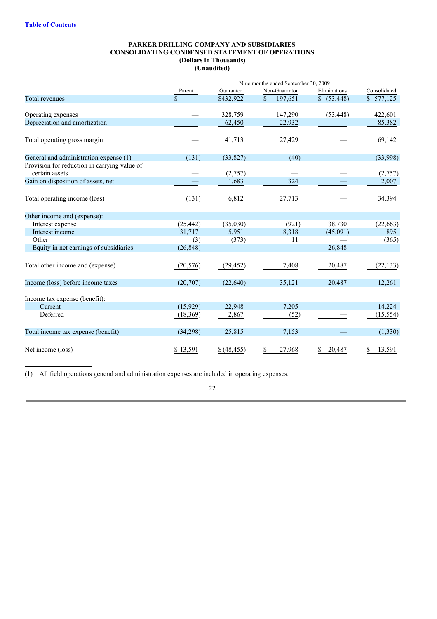|                                                                |              |            | Nine months ended September 30, 2009 |              |              |
|----------------------------------------------------------------|--------------|------------|--------------------------------------|--------------|--------------|
|                                                                | Parent       | Guarantor  | Non-Guarantor                        | Eliminations | Consolidated |
| Total revenues                                                 | $\mathbb{S}$ | \$432,922  | $\mathbb{S}$<br>197,651              | \$ (53,448)  | \$577,125    |
| Operating expenses                                             |              | 328,759    | 147,290                              | (53, 448)    | 422,601      |
| Depreciation and amortization                                  |              | 62,450     | 22,932                               |              | 85,382       |
| Total operating gross margin                                   |              | 41,713     | 27,429                               |              | 69,142       |
| General and administration expense (1)                         | (131)        | (33,827)   | (40)                                 |              | (33,998)     |
| Provision for reduction in carrying value of<br>certain assets |              | (2,757)    |                                      |              | (2,757)      |
| Gain on disposition of assets, net                             |              | 1,683      | 324                                  |              | 2,007        |
| Total operating income (loss)                                  | (131)        | 6,812      | 27,713                               |              | 34,394       |
| Other income and (expense):                                    |              |            |                                      |              |              |
| Interest expense                                               | (25, 442)    | (35,030)   | (921)                                | 38,730       | (22, 663)    |
| Interest income                                                | 31,717       | 5,951      | 8,318                                | (45,091)     | 895          |
| Other                                                          | (3)          | (373)      | 11                                   |              | (365)        |
| Equity in net earnings of subsidiaries                         | (26, 848)    |            |                                      | 26,848       |              |
| Total other income and (expense)                               | (20,576)     | (29, 452)  | 7,408                                | 20,487       | (22, 133)    |
| Income (loss) before income taxes                              | (20,707)     | (22, 640)  | 35,121                               | 20,487       | 12,261       |
| Income tax expense (benefit):                                  |              |            |                                      |              |              |
| Current                                                        | (15,929)     | 22,948     | 7,205                                |              | 14,224       |
| Deferred                                                       | (18,369)     | 2,867      | (52)                                 |              | (15, 554)    |
| Total income tax expense (benefit)                             | (34,298)     | 25,815     | 7,153                                |              | (1, 330)     |
| Net income (loss)                                              | \$13,591     | \$(48,455) | 27,968<br>\$                         | 20,487       | 13,591<br>\$ |

(1) All field operations general and administration expenses are included in operating expenses.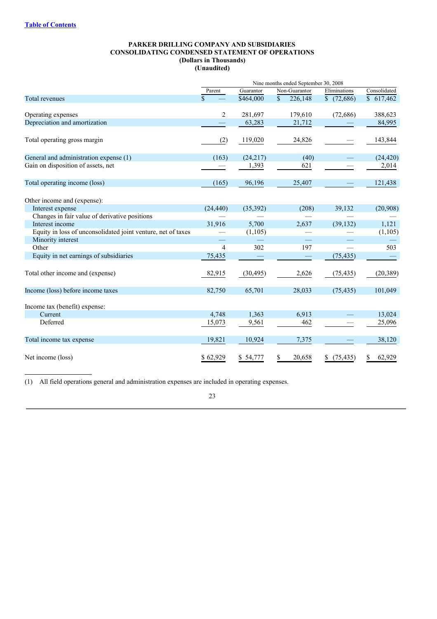|                                                              | Nine months ended September 30, 2008 |           |               |                 |              |
|--------------------------------------------------------------|--------------------------------------|-----------|---------------|-----------------|--------------|
|                                                              | Parent                               | Guarantor | Non-Guarantor | Eliminations    | Consolidated |
| Total revenues                                               | \$                                   | \$464,000 | \$<br>226,148 | \$(72,686)      | \$617,462    |
| Operating expenses                                           | 2                                    | 281,697   | 179,610       | (72,686)        | 388,623      |
| Depreciation and amortization                                |                                      | 63,283    | 21,712        |                 | 84,995       |
| Total operating gross margin                                 | (2)                                  | 119,020   | 24,826        |                 | 143,844      |
| General and administration expense (1)                       | (163)                                | (24,217)  | (40)          |                 | (24, 420)    |
| Gain on disposition of assets, net                           |                                      | 1,393     | 621           |                 | 2,014        |
| Total operating income (loss)                                | (165)                                | 96,196    | 25,407        |                 | 121,438      |
| Other income and (expense):                                  |                                      |           |               |                 |              |
| Interest expense                                             | (24, 440)                            | (35, 392) | (208)         | 39,132          | (20,908)     |
| Changes in fair value of derivative positions                |                                      |           |               |                 |              |
| Interest income                                              | 31,916                               | 5,700     | 2,637         | (39, 132)       | 1,121        |
| Equity in loss of unconsolidated joint venture, net of taxes |                                      | (1,105)   |               |                 | (1,105)      |
| Minority interest                                            |                                      |           |               |                 |              |
| Other                                                        | $\overline{4}$                       | 302       | 197           |                 | 503          |
| Equity in net earnings of subsidiaries                       | 75,435                               |           |               | (75, 435)       |              |
| Total other income and (expense)                             | 82,915                               | (30, 495) | 2,626         | (75, 435)       | (20, 389)    |
| Income (loss) before income taxes                            | 82,750                               | 65,701    | 28,033        | (75, 435)       | 101,049      |
| Income tax (benefit) expense:                                |                                      |           |               |                 |              |
| Current                                                      | 4,748                                | 1,363     | 6,913         |                 | 13,024       |
| Deferred                                                     | 15,073                               | 9,561     | 462           |                 | 25,096       |
| Total income tax expense                                     | 19,821                               | 10,924    | 7,375         |                 | 38,120       |
| Net income (loss)                                            | \$62,929                             | \$54,777  | 20,658<br>\$  | (75, 435)<br>S. | 62,929<br>\$ |

(1) All field operations general and administration expenses are included in operating expenses.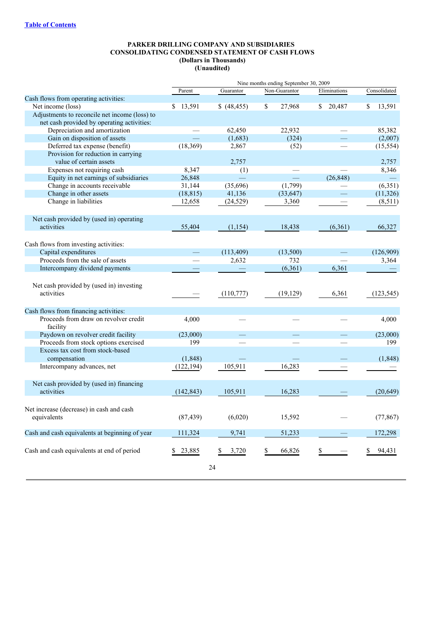|                                                                         |                     |              | Nine months ending September 30, 2009 |              |              |
|-------------------------------------------------------------------------|---------------------|--------------|---------------------------------------|--------------|--------------|
|                                                                         | Parent              | Guarantor    | Non-Guarantor                         | Eliminations | Consolidated |
| Cash flows from operating activities:                                   |                     |              |                                       |              |              |
| Net income (loss)                                                       | \$13,591            | \$ (48, 455) | 27,968<br>\$                          | 20,487<br>\$ | 13,591<br>\$ |
| Adjustments to reconcile net income (loss) to                           |                     |              |                                       |              |              |
| net cash provided by operating activities:                              |                     |              |                                       |              |              |
| Depreciation and amortization                                           |                     | 62,450       | 22,932                                |              | 85,382       |
| Gain on disposition of assets                                           |                     | (1,683)      | (324)                                 |              | (2,007)      |
| Deferred tax expense (benefit)                                          | (18, 369)           | 2,867        | (52)                                  |              | (15, 554)    |
| Provision for reduction in carrying                                     |                     |              |                                       |              |              |
| value of certain assets                                                 |                     | 2,757        |                                       |              | 2,757        |
| Expenses not requiring cash                                             | 8,347               | (1)          |                                       |              | 8,346        |
| Equity in net earnings of subsidiaries<br>Change in accounts receivable | 26,848              | (35,696)     |                                       | (26, 848)    | (6,351)      |
| Change in other assets                                                  | 31,144<br>(18, 815) | 41,136       | (1,799)<br>(33, 647)                  |              | (11, 326)    |
| Change in liabilities                                                   | 12,658              | (24, 529)    | 3,360                                 |              | (8,511)      |
|                                                                         |                     |              |                                       |              |              |
| Net cash provided by (used in) operating                                |                     |              |                                       |              |              |
| activities                                                              | 55,404              | (1, 154)     | 18,438                                | (6,361)      | 66,327       |
| Cash flows from investing activities:                                   |                     |              |                                       |              |              |
| Capital expenditures                                                    |                     | (113, 409)   | (13,500)                              |              | (126,909)    |
| Proceeds from the sale of assets                                        |                     | 2,632        | 732                                   |              | 3,364        |
| Intercompany dividend payments                                          |                     |              | (6,361)                               | 6,361        |              |
|                                                                         |                     |              |                                       |              |              |
| Net cash provided by (used in) investing<br>activities                  |                     | (110,777)    | (19, 129)                             | 6,361        | (123, 545)   |
|                                                                         |                     |              |                                       |              |              |
| Cash flows from financing activities:                                   |                     |              |                                       |              |              |
| Proceeds from draw on revolver credit<br>facility                       | 4,000               |              |                                       |              | 4,000        |
| Paydown on revolver credit facility                                     | (23,000)            |              |                                       |              | (23,000)     |
| Proceeds from stock options exercised                                   | 199                 |              |                                       |              | 199          |
| Excess tax cost from stock-based                                        |                     |              |                                       |              |              |
| compensation                                                            | (1,848)             |              |                                       |              | (1, 848)     |
| Intercompany advances, net                                              | (122, 194)          | 105,911      | 16,283                                |              |              |
| Net cash provided by (used in) financing                                |                     |              |                                       |              |              |
| activities                                                              | (142, 843)          | 105,911      | 16,283                                |              | (20, 649)    |
| Net increase (decrease) in cash and cash                                |                     |              |                                       |              |              |
| equivalents                                                             | (87, 439)           | (6,020)      | 15,592                                |              | (77, 867)    |
|                                                                         |                     |              |                                       |              |              |
| Cash and cash equivalents at beginning of year                          | 111,324             | 9,741        | 51,233                                |              | 172,298      |
| Cash and cash equivalents at end of period                              | \$23,885            | \$<br>3,720  | \$<br>66,826                          |              | 94,431<br>S. |
|                                                                         |                     | 24           |                                       |              |              |
|                                                                         |                     |              |                                       |              |              |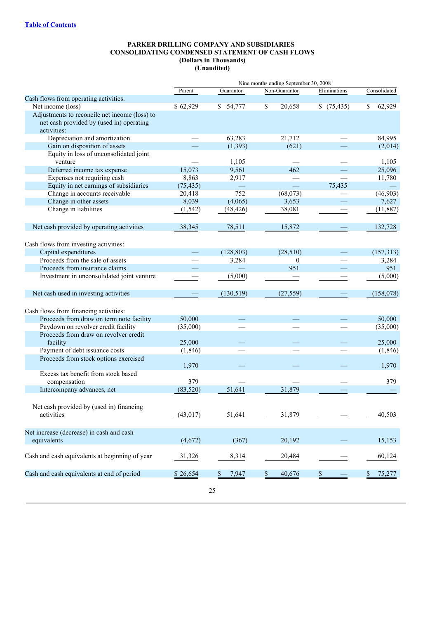|                                                                                                          | Nine months ending September 30, 2008 |                        |               |              |              |
|----------------------------------------------------------------------------------------------------------|---------------------------------------|------------------------|---------------|--------------|--------------|
|                                                                                                          | Parent                                | Guarantor              | Non-Guarantor | Eliminations | Consolidated |
| Cash flows from operating activities:                                                                    |                                       |                        |               |              |              |
| Net income (loss)                                                                                        | \$62,929                              | $\overline{\$}$ 54,777 | \$<br>20,658  | \$(75, 435)  | 62,929<br>\$ |
| Adjustments to reconcile net income (loss) to<br>net cash provided by (used in) operating<br>activities: |                                       |                        |               |              |              |
| Depreciation and amortization                                                                            |                                       | 63,283                 | 21,712        |              | 84,995       |
| Gain on disposition of assets                                                                            |                                       | (1, 393)               | (621)         |              | (2,014)      |
| Equity in loss of unconsolidated joint                                                                   |                                       |                        |               |              |              |
| venture                                                                                                  |                                       | 1,105                  |               |              | 1,105        |
| Deferred income tax expense                                                                              | 15,073                                | 9,561                  | 462           |              | 25,096       |
| Expenses not requiring cash                                                                              | 8,863                                 | 2,917                  |               | L.           | 11,780       |
| Equity in net earnings of subsidiaries                                                                   | (75, 435)                             |                        |               | 75,435       |              |
| Change in accounts receivable                                                                            | 20,418                                | 752                    | (68,073)      |              | (46,903)     |
| Change in other assets                                                                                   | 8,039                                 | (4,065)                | 3,653         |              | 7,627        |
| Change in liabilities                                                                                    | (1, 542)                              | (48, 426)              | 38,081        |              | (11, 887)    |
| Net cash provided by operating activities                                                                | 38,345                                | 78,511                 | 15,872        |              | 132,728      |
| Cash flows from investing activities:                                                                    |                                       |                        |               |              |              |
| Capital expenditures                                                                                     |                                       | (128, 803)             | (28,510)      |              | (157,313)    |
| Proceeds from the sale of assets                                                                         |                                       | 3,284                  | 0             |              | 3,284        |
| Proceeds from insurance claims                                                                           |                                       |                        | 951           |              | 951          |
| Investment in unconsolidated joint venture                                                               |                                       | (5,000)                |               |              | (5,000)      |
| Net cash used in investing activities                                                                    |                                       | (130, 519)             | (27, 559)     |              | (158,078)    |
|                                                                                                          |                                       |                        |               |              |              |
| Cash flows from financing activities:<br>Proceeds from draw on term note facility                        | 50,000                                |                        |               |              | 50,000       |
| Paydown on revolver credit facility                                                                      | (35,000)                              |                        |               |              | (35,000)     |
| Proceeds from draw on revolver credit                                                                    |                                       |                        |               |              |              |
| facility                                                                                                 | 25,000                                |                        |               |              | 25,000       |
| Payment of debt issuance costs                                                                           | (1,846)                               |                        |               |              | (1, 846)     |
| Proceeds from stock options exercised                                                                    | 1,970                                 |                        |               |              | 1,970        |
| Excess tax benefit from stock based<br>compensation                                                      | 379                                   |                        |               |              | 379          |
| Intercompany advances, net                                                                               | (83, 520)                             | 51,641                 | 31,879        |              |              |
| Net cash provided by (used in) financing<br>activities                                                   | (43,017)                              | 51,641                 | 31,879        |              | 40,503       |
|                                                                                                          |                                       |                        |               |              |              |
| Net increase (decrease) in cash and cash                                                                 |                                       |                        |               |              |              |
| equivalents                                                                                              | (4,672)                               | (367)                  | 20,192        |              | 15,153       |
| Cash and cash equivalents at beginning of year                                                           | 31,326                                | 8,314                  | 20,484        |              | 60,124       |
| Cash and cash equivalents at end of period                                                               | \$26,654                              | 7,947<br>\$            | 40,676<br>\$  |              | 75,277<br>\$ |
|                                                                                                          |                                       | 25                     |               |              |              |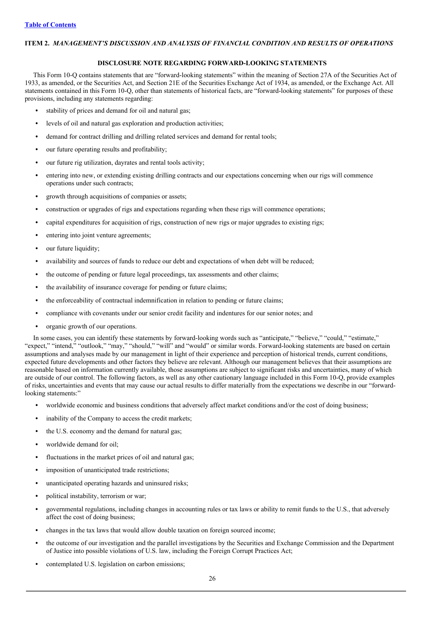## **ITEM 2.** *MANAGEMENT'S DISCUSSION AND ANALYSIS OF FINANCIAL CONDITION AND RESULTS OF OPERATIONS*

#### **DISCLOSURE NOTE REGARDING FORWARD-LOOKING STATEMENTS**

This Form 10-Q contains statements that are "forward-looking statements" within the meaning of Section 27A of the Securities Act of 1933, as amended, or the Securities Act, and Section 21E of the Securities Exchange Act of 1934, as amended, or the Exchange Act. All statements contained in this Form 10-Q, other than statements of historical facts, are "forward-looking statements" for purposes of these provisions, including any statements regarding:

- **•** stability of prices and demand for oil and natural gas;
- **•** levels of oil and natural gas exploration and production activities;
- **•** demand for contract drilling and drilling related services and demand for rental tools;
- **•** our future operating results and profitability;
- **•** our future rig utilization, dayrates and rental tools activity;
- **•** entering into new, or extending existing drilling contracts and our expectations concerning when our rigs will commence operations under such contracts;
- **•** growth through acquisitions of companies or assets;
- **•** construction or upgrades of rigs and expectations regarding when these rigs will commence operations;
- **•** capital expenditures for acquisition of rigs, construction of new rigs or major upgrades to existing rigs;
- **•** entering into joint venture agreements;
- **•** our future liquidity;
- **•** availability and sources of funds to reduce our debt and expectations of when debt will be reduced;
- **•** the outcome of pending or future legal proceedings, tax assessments and other claims;
- **•** the availability of insurance coverage for pending or future claims;
- **•** the enforceability of contractual indemnification in relation to pending or future claims;
- **•** compliance with covenants under our senior credit facility and indentures for our senior notes; and
- **•** organic growth of our operations.

In some cases, you can identify these statements by forward-looking words such as "anticipate," "believe," "could," "estimate," "expect," "intend," "outlook," "may," "should," "will" and "would" or similar words. Forward-looking statements are based on certain assumptions and analyses made by our management in light of their experience and perception of historical trends, current conditions, expected future developments and other factors they believe are relevant. Although our management believes that their assumptions are reasonable based on information currently available, those assumptions are subject to significant risks and uncertainties, many of which are outside of our control. The following factors, as well as any other cautionary language included in this Form 10-Q, provide examples of risks, uncertainties and events that may cause our actual results to differ materially from the expectations we describe in our "forwardlooking statements:"

- **•** worldwide economic and business conditions that adversely affect market conditions and/or the cost of doing business;
- **•** inability of the Company to access the credit markets;
- **•** the U.S. economy and the demand for natural gas;
- **•** worldwide demand for oil;
- **•** fluctuations in the market prices of oil and natural gas;
- **•** imposition of unanticipated trade restrictions;
- **•** unanticipated operating hazards and uninsured risks;
- **•** political instability, terrorism or war;
- **•** governmental regulations, including changes in accounting rules or tax laws or ability to remit funds to the U.S., that adversely affect the cost of doing business;
- **•** changes in the tax laws that would allow double taxation on foreign sourced income;
- **•** the outcome of our investigation and the parallel investigations by the Securities and Exchange Commission and the Department of Justice into possible violations of U.S. law, including the Foreign Corrupt Practices Act;
- **•** contemplated U.S. legislation on carbon emissions;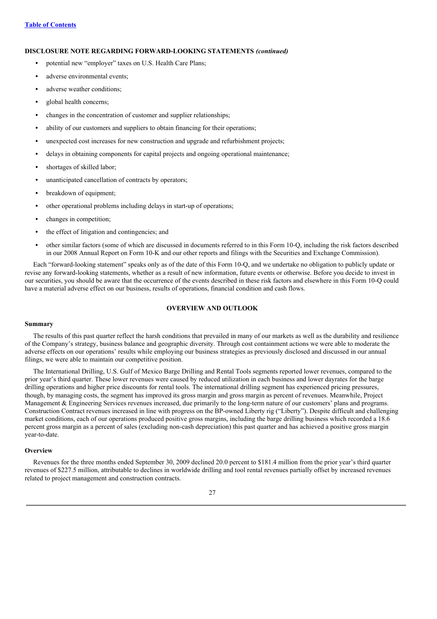## **DISCLOSURE NOTE REGARDING FORWARD-LOOKING STATEMENTS** *(continued)*

- **•** potential new "employer" taxes on U.S. Health Care Plans;
- **•** adverse environmental events;
- **•** adverse weather conditions;
- **•** global health concerns;
- **•** changes in the concentration of customer and supplier relationships;
- **•** ability of our customers and suppliers to obtain financing for their operations;
- **•** unexpected cost increases for new construction and upgrade and refurbishment projects;
- delays in obtaining components for capital projects and ongoing operational maintenance;
- **•** shortages of skilled labor;
- **•** unanticipated cancellation of contracts by operators;
- **breakdown** of equipment:
- **•** other operational problems including delays in start-up of operations;
- **•** changes in competition;
- **•** the effect of litigation and contingencies; and
- **•** other similar factors (some of which are discussed in documents referred to in this Form 10-Q, including the risk factors described in our 2008 Annual Report on Form 10-K and our other reports and filings with the Securities and Exchange Commission).

Each "forward-looking statement" speaks only as of the date of this Form 10-Q, and we undertake no obligation to publicly update or revise any forward-looking statements, whether as a result of new information, future events or otherwise. Before you decide to invest in our securities, you should be aware that the occurrence of the events described in these risk factors and elsewhere in this Form 10-Q could have a material adverse effect on our business, results of operations, financial condition and cash flows.

#### **OVERVIEW AND OUTLOOK**

#### **Summary**

The results of this past quarter reflect the harsh conditions that prevailed in many of our markets as well as the durability and resilience of the Company's strategy, business balance and geographic diversity. Through cost containment actions we were able to moderate the adverse effects on our operations' results while employing our business strategies as previously disclosed and discussed in our annual filings, we were able to maintain our competitive position.

The International Drilling, U.S. Gulf of Mexico Barge Drilling and Rental Tools segments reported lower revenues, compared to the prior year's third quarter. These lower revenues were caused by reduced utilization in each business and lower dayrates for the barge drilling operations and higher price discounts for rental tools. The international drilling segment has experienced pricing pressures, though, by managing costs, the segment has improved its gross margin and gross margin as percent of revenues. Meanwhile, Project Management & Engineering Services revenues increased, due primarily to the long-term nature of our customers' plans and programs. Construction Contract revenues increased in line with progress on the BP-owned Liberty rig ("Liberty"). Despite difficult and challenging market conditions, each of our operations produced positive gross margins, including the barge drilling business which recorded a 18.6 percent gross margin as a percent of sales (excluding non-cash depreciation) this past quarter and has achieved a positive gross margin year-to-date.

#### **Overview**

Revenues for the three months ended September 30, 2009 declined 20.0 percent to \$181.4 million from the prior year's third quarter revenues of \$227.5 million, attributable to declines in worldwide drilling and tool rental revenues partially offset by increased revenues related to project management and construction contracts.

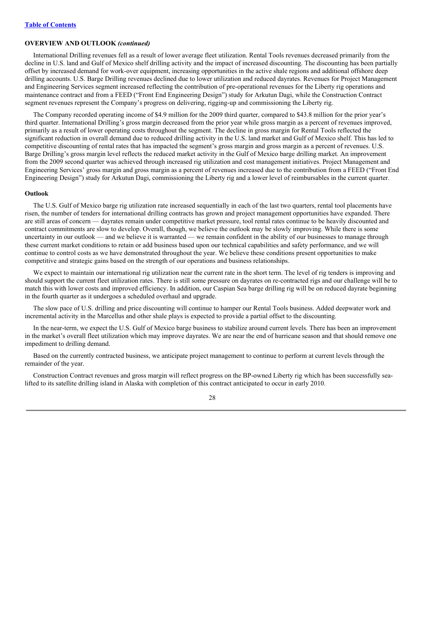## **OVERVIEW AND OUTLOOK** *(continued)*

International Drilling revenues fell as a result of lower average fleet utilization. Rental Tools revenues decreased primarily from the decline in U.S. land and Gulf of Mexico shelf drilling activity and the impact of increased discounting. The discounting has been partially offset by increased demand for work-over equipment, increasing opportunities in the active shale regions and additional offshore deep drilling accounts. U.S. Barge Drilling revenues declined due to lower utilization and reduced dayrates. Revenues for Project Management and Engineering Services segment increased reflecting the contribution of pre-operational revenues for the Liberty rig operations and maintenance contract and from a FEED ("Front End Engineering Design") study for Arkutun Dagi, while the Construction Contract segment revenues represent the Company's progress on delivering, rigging-up and commissioning the Liberty rig.

The Company recorded operating income of \$4.9 million for the 2009 third quarter, compared to \$43.8 million for the prior year's third quarter. International Drilling's gross margin decreased from the prior year while gross margin as a percent of revenues improved, primarily as a result of lower operating costs throughout the segment. The decline in gross margin for Rental Tools reflected the significant reduction in overall demand due to reduced drilling activity in the U.S. land market and Gulf of Mexico shelf. This has led to competitive discounting of rental rates that has impacted the segment's gross margin and gross margin as a percent of revenues. U.S. Barge Drilling's gross margin level reflects the reduced market activity in the Gulf of Mexico barge drilling market. An improvement from the 2009 second quarter was achieved through increased rig utilization and cost management initiatives. Project Management and Engineering Services' gross margin and gross margin as a percent of revenues increased due to the contribution from a FEED ("Front End Engineering Design") study for Arkutun Dagi, commissioning the Liberty rig and a lower level of reimbursables in the current quarter.

#### **Outlook**

The U.S. Gulf of Mexico barge rig utilization rate increased sequentially in each of the last two quarters, rental tool placements have risen, the number of tenders for international drilling contracts has grown and project management opportunities have expanded. There are still areas of concern — dayrates remain under competitive market pressure, tool rental rates continue to be heavily discounted and contract commitments are slow to develop. Overall, though, we believe the outlook may be slowly improving. While there is some uncertainty in our outlook — and we believe it is warranted — we remain confident in the ability of our businesses to manage through these current market conditions to retain or add business based upon our technical capabilities and safety performance, and we will continue to control costs as we have demonstrated throughout the year. We believe these conditions present opportunities to make competitive and strategic gains based on the strength of our operations and business relationships.

We expect to maintain our international rig utilization near the current rate in the short term. The level of rig tenders is improving and should support the current fleet utilization rates. There is still some pressure on dayrates on re-contracted rigs and our challenge will be to match this with lower costs and improved efficiency. In addition, our Caspian Sea barge drilling rig will be on reduced dayrate beginning in the fourth quarter as it undergoes a scheduled overhaul and upgrade.

The slow pace of U.S. drilling and price discounting will continue to hamper our Rental Tools business. Added deepwater work and incremental activity in the Marcellus and other shale plays is expected to provide a partial offset to the discounting.

In the near-term, we expect the U.S. Gulf of Mexico barge business to stabilize around current levels. There has been an improvement in the market's overall fleet utilization which may improve dayrates. We are near the end of hurricane season and that should remove one impediment to drilling demand.

Based on the currently contracted business, we anticipate project management to continue to perform at current levels through the remainder of the year.

Construction Contract revenues and gross margin will reflect progress on the BP-owned Liberty rig which has been successfully sealifted to its satellite drilling island in Alaska with completion of this contract anticipated to occur in early 2010.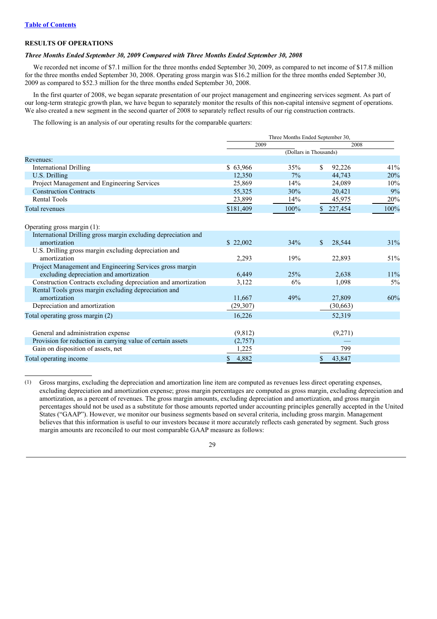## **RESULTS OF OPERATIONS**

#### *Three Months Ended September 30, 2009 Compared with Three Months Ended September 30, 2008*

We recorded net income of \$7.1 million for the three months ended September 30, 2009, as compared to net income of \$17.8 million for the three months ended September 30, 2008. Operating gross margin was \$16.2 million for the three months ended September 30, 2009 as compared to \$52.3 million for the three months ended September 30, 2008.

In the first quarter of 2008, we began separate presentation of our project management and engineering services segment. As part of our long-term strategic growth plan, we have begun to separately monitor the results of this non-capital intensive segment of operations. We also created a new segment in the second quarter of 2008 to separately reflect results of our rig construction contracts.

The following is an analysis of our operating results for the comparable quarters:

|                                                                |           |      | Three Months Ended September 30, |      |
|----------------------------------------------------------------|-----------|------|----------------------------------|------|
|                                                                | 2009      |      | 2008                             |      |
|                                                                |           |      | (Dollars in Thousands)           |      |
| Revenues:                                                      |           |      |                                  |      |
| <b>International Drilling</b>                                  | \$63,966  | 35%  | \$<br>92,226                     | 41%  |
| U.S. Drilling                                                  | 12,350    | 7%   | 44,743                           | 20%  |
| Project Management and Engineering Services                    | 25,869    | 14%  | 24,089                           | 10%  |
| <b>Construction Contracts</b>                                  | 55,325    | 30%  | 20,421                           | 9%   |
| <b>Rental Tools</b>                                            | 23,899    | 14%  | 45,975                           | 20%  |
| Total revenues                                                 | \$181,409 | 100% | 227,454<br>$\mathbb{S}$          | 100% |
| Operating gross margin (1):                                    |           |      |                                  |      |
| International Drilling gross margin excluding depreciation and |           |      |                                  |      |
| amortization                                                   | \$22,002  | 34%  | 28,544<br>\$                     | 31%  |
| U.S. Drilling gross margin excluding depreciation and          |           |      |                                  |      |
| amortization                                                   | 2,293     | 19%  | 22,893                           | 51%  |
| Project Management and Engineering Services gross margin       |           |      |                                  |      |
| excluding depreciation and amortization                        | 6.449     | 25%  | 2,638                            | 11%  |
| Construction Contracts excluding depreciation and amortization | 3,122     | 6%   | 1,098                            | 5%   |
| Rental Tools gross margin excluding depreciation and           |           |      |                                  |      |
| amortization                                                   | 11,667    | 49%  | 27,809                           | 60%  |
| Depreciation and amortization                                  | (29, 307) |      | (30,663)                         |      |
| Total operating gross margin (2)                               | 16,226    |      | 52,319                           |      |
| General and administration expense                             | (9,812)   |      | (9,271)                          |      |
| Provision for reduction in carrying value of certain assets    | (2,757)   |      |                                  |      |
| Gain on disposition of assets, net                             | 1,225     |      | 799                              |      |
| Total operating income                                         | 4,882     |      | 43.847                           |      |

(1) Gross margins, excluding the depreciation and amortization line item are computed as revenues less direct operating expenses, excluding depreciation and amortization expense; gross margin percentages are computed as gross margin, excluding depreciation and amortization, as a percent of revenues. The gross margin amounts, excluding depreciation and amortization, and gross margin percentages should not be used as a substitute for those amounts reported under accounting principles generally accepted in the United States ("GAAP"). However, we monitor our business segments based on several criteria, including gross margin. Management believes that this information is useful to our investors because it more accurately reflects cash generated by segment. Such gross margin amounts are reconciled to our most comparable GAAP measure as follows: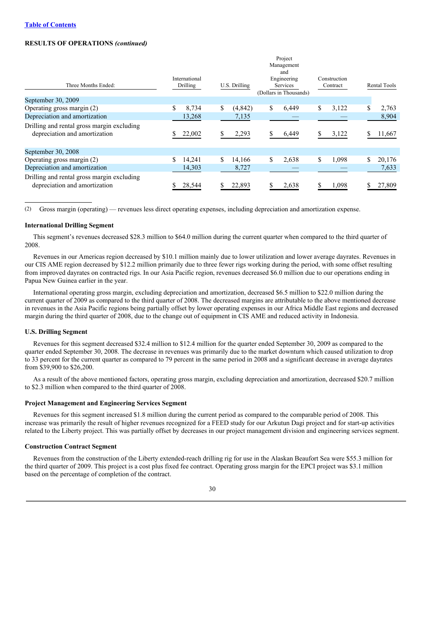## **RESULTS OF OPERATIONS** *(continued)*

| Three Months Ended:                                                         | International<br>Drilling | U.S. Drilling | Project<br>Management<br>and<br>Engineering<br>Services<br>(Dollars in Thousands) | Construction<br>Contract | Rental Tools |
|-----------------------------------------------------------------------------|---------------------------|---------------|-----------------------------------------------------------------------------------|--------------------------|--------------|
| September 30, 2009                                                          |                           |               |                                                                                   |                          |              |
| Operating gross margin (2)                                                  | \$<br>8,734               | S<br>(4, 842) | \$.<br>6,449                                                                      | \$<br>3,122              | S<br>2,763   |
| Depreciation and amortization                                               | 13,268                    | 7,135         |                                                                                   |                          | 8,904        |
| Drilling and rental gross margin excluding<br>depreciation and amortization | 22,002                    | 2,293         | 6,449                                                                             | 3,122                    | 11,667       |
| September 30, 2008                                                          |                           |               |                                                                                   |                          |              |
| Operating gross margin (2)                                                  | 14,241                    | S<br>14,166   | 2,638                                                                             | \$<br>1,098              | S<br>20,176  |
| Depreciation and amortization                                               | 14,303                    | 8,727         |                                                                                   |                          | 7,633        |
| Drilling and rental gross margin excluding<br>depreciation and amortization | 28,544                    | 22,893        | 2,638                                                                             | 1,098                    | 27,809       |

(2) Gross margin (operating) — revenues less direct operating expenses, including depreciation and amortization expense.

#### **International Drilling Segment**

This segment's revenues decreased \$28.3 million to \$64.0 million during the current quarter when compared to the third quarter of 2008.

Revenues in our Americas region decreased by \$10.1 million mainly due to lower utilization and lower average dayrates. Revenues in our CIS AME region decreased by \$12.2 million primarily due to three fewer rigs working during the period, with some offset resulting from improved dayrates on contracted rigs. In our Asia Pacific region, revenues decreased \$6.0 million due to our operations ending in Papua New Guinea earlier in the year.

International operating gross margin, excluding depreciation and amortization, decreased \$6.5 million to \$22.0 million during the current quarter of 2009 as compared to the third quarter of 2008. The decreased margins are attributable to the above mentioned decrease in revenues in the Asia Pacific regions being partially offset by lower operating expenses in our Africa Middle East regions and decreased margin during the third quarter of 2008, due to the change out of equipment in CIS AME and reduced activity in Indonesia.

#### **U.S. Drilling Segment**

Revenues for this segment decreased \$32.4 million to \$12.4 million for the quarter ended September 30, 2009 as compared to the quarter ended September 30, 2008. The decrease in revenues was primarily due to the market downturn which caused utilization to drop to 33 percent for the current quarter as compared to 79 percent in the same period in 2008 and a significant decrease in average dayrates from \$39,900 to \$26,200.

As a result of the above mentioned factors, operating gross margin, excluding depreciation and amortization, decreased \$20.7 million to \$2.3 million when compared to the third quarter of 2008.

#### **Project Management and Engineering Services Segment**

Revenues for this segment increased \$1.8 million during the current period as compared to the comparable period of 2008. This increase was primarily the result of higher revenues recognized for a FEED study for our Arkutun Dagi project and for start-up activities related to the Liberty project. This was partially offset by decreases in our project management division and engineering services segment.

#### **Construction Contract Segment**

Revenues from the construction of the Liberty extended-reach drilling rig for use in the Alaskan Beaufort Sea were \$55.3 million for the third quarter of 2009. This project is a cost plus fixed fee contract. Operating gross margin for the EPCI project was \$3.1 million based on the percentage of completion of the contract.

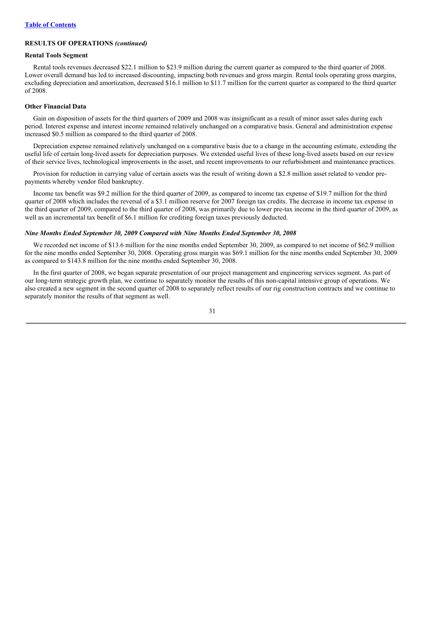## **RESULTS OF OPERATIONS** *(continued)*

#### **Rental Tools Segment**

Rental tools revenues decreased \$22.1 million to \$23.9 million during the current quarter as compared to the third quarter of 2008. Lower overall demand has led to increased discounting, impacting both revenues and gross margin. Rental tools operating gross margins, excluding depreciation and amortization, decreased \$16.1 million to \$11.7 million for the current quarter as compared to the third quarter of 2008.

#### **Other Financial Data**

Gain on disposition of assets for the third quarters of 2009 and 2008 was insignificant as a result of minor asset sales during each period. Interest expense and interest income remained relatively unchanged on a comparative basis. General and administration expense increased \$0.5 million as compared to the third quarter of 2008.

Depreciation expense remained relatively unchanged on a comparative basis due to a change in the accounting estimate, extending the useful life of certain long-lived assets for depreciation purposes. We extended useful lives of these long-lived assets based on our review of their service lives, technological improvements in the asset, and recent improvements to our refurbishment and maintenance practices.

Provision for reduction in carrying value of certain assets was the result of writing down a \$2.8 million asset related to vendor prepayments whereby vendor filed bankruptcy.

Income tax benefit was \$9.2 million for the third quarter of 2009, as compared to income tax expense of \$19.7 million for the third quarter of 2008 which includes the reversal of a \$3.1 million reserve for 2007 foreign tax credits. The decrease in income tax expense in the third quarter of 2009, compared to the third quarter of 2008, was primarily due to lower pre-tax income in the third quarter of 2009, as well as an incremental tax benefit of \$6.1 million for crediting foreign taxes previously deducted.

#### *Nine Months Ended September 30, 2009 Compared with Nine Months Ended September 30, 2008*

We recorded net income of \$13.6 million for the nine months ended September 30, 2009, as compared to net income of \$62.9 million for the nine months ended September 30, 2008. Operating gross margin was \$69.1 million for the nine months ended September 30, 2009 as compared to \$143.8 million for the nine months ended September 30, 2008.

In the first quarter of 2008, we began separate presentation of our project management and engineering services segment. As part of our long-term strategic growth plan, we continue to separately monitor the results of this non-capital intensive group of operations. We also created a new segment in the second quarter of 2008 to separately reflect results of our rig construction contracts and we continue to separately monitor the results of that segment as well.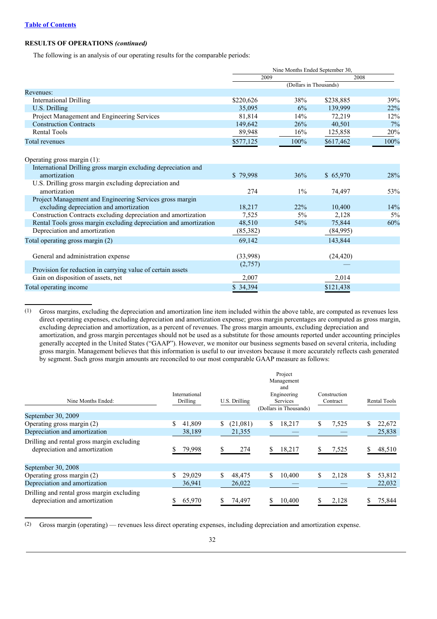## **Table of Contents**

## **RESULTS OF OPERATIONS** *(continued)*

The following is an analysis of our operating results for the comparable periods:

|                                                                   | Nine Months Ended September 30, |                        |           |       |
|-------------------------------------------------------------------|---------------------------------|------------------------|-----------|-------|
|                                                                   | 2009                            |                        | 2008      |       |
|                                                                   |                                 | (Dollars in Thousands) |           |       |
| Revenues:                                                         |                                 |                        |           |       |
| <b>International Drilling</b>                                     | \$220,626                       | 38%                    | \$238,885 | 39%   |
| U.S. Drilling                                                     | 35,095                          | 6%                     | 139.999   | 22%   |
| Project Management and Engineering Services                       | 81,814                          | 14%                    | 72,219    | 12%   |
| <b>Construction Contracts</b>                                     | 149,642                         | 26%                    | 40,501    | 7%    |
| <b>Rental Tools</b>                                               | 89,948                          | 16%                    | 125,858   | 20%   |
| Total revenues                                                    | \$577,125                       | 100%                   | \$617,462 | 100%  |
| Operating gross margin (1):                                       |                                 |                        |           |       |
| International Drilling gross margin excluding depreciation and    |                                 |                        |           |       |
| amortization                                                      | \$79,998                        | 36%                    | \$65,970  | 28%   |
| U.S. Drilling gross margin excluding depreciation and             |                                 |                        |           |       |
| amortization                                                      | 274                             | $1\%$                  | 74,497    | 53%   |
| Project Management and Engineering Services gross margin          |                                 |                        |           |       |
| excluding depreciation and amortization                           | 18,217                          | 22%                    | 10.400    | 14%   |
| Construction Contracts excluding depreciation and amortization    | 7,525                           | $5\%$                  | 2,128     | $5\%$ |
| Rental Tools gross margin excluding depreciation and amortization | 48,510                          | 54%                    | 75,844    | 60%   |
| Depreciation and amortization                                     | (85,382)                        |                        | (84,995)  |       |
| Total operating gross margin (2)                                  | 69,142                          |                        | 143,844   |       |
| General and administration expense                                | (33,998)                        |                        | (24, 420) |       |
| Provision for reduction in carrying value of certain assets       | (2,757)                         |                        |           |       |
| Gain on disposition of assets, net                                | 2,007                           |                        | 2,014     |       |
| Total operating income                                            | \$34,394                        |                        | \$121,438 |       |

(1) Gross margins, excluding the depreciation and amortization line item included within the above table, are computed as revenues less direct operating expenses, excluding depreciation and amortization expense; gross margin percentages are computed as gross margin, excluding depreciation and amortization, as a percent of revenues. The gross margin amounts, excluding depreciation and amortization, and gross margin percentages should not be used as a substitute for those amounts reported under accounting principles generally accepted in the United States ("GAAP"). However, we monitor our business segments based on several criteria, including gross margin. Management believes that this information is useful to our investors because it more accurately reflects cash generated by segment. Such gross margin amounts are reconciled to our most comparable GAAP measure as follows:

|                                                                             |                           |                | Project<br>Management<br>and                      |                          |                     |
|-----------------------------------------------------------------------------|---------------------------|----------------|---------------------------------------------------|--------------------------|---------------------|
| Nine Months Ended:                                                          | International<br>Drilling | U.S. Drilling  | Engineering<br>Services<br>(Dollars in Thousands) | Construction<br>Contract | <b>Rental Tools</b> |
| September 30, 2009                                                          |                           |                |                                                   |                          |                     |
| Operating gross margin (2)                                                  | 41,809                    | (21,081)<br>\$ | 18,217<br>S                                       | \$<br>7,525              | \$<br>22,672        |
| Depreciation and amortization                                               | 38,189                    | 21,355         |                                                   |                          | 25,838              |
| Drilling and rental gross margin excluding<br>depreciation and amortization | 79,998                    | 274            | 18,217                                            | 7,525                    | 48,510<br>S         |
| September 30, 2008                                                          |                           |                |                                                   |                          |                     |
| Operating gross margin (2)                                                  | 29,029                    | \$<br>48,475   | \$<br>10,400                                      | \$<br>2,128              | \$<br>53,812        |
| Depreciation and amortization                                               | 36,941                    | 26,022         |                                                   |                          | 22,032              |
| Drilling and rental gross margin excluding<br>depreciation and amortization | 65,970                    | 74,497         | 10,400                                            | 2,128                    | 75,844              |

(2) Gross margin (operating) — revenues less direct operating expenses, including depreciation and amortization expense.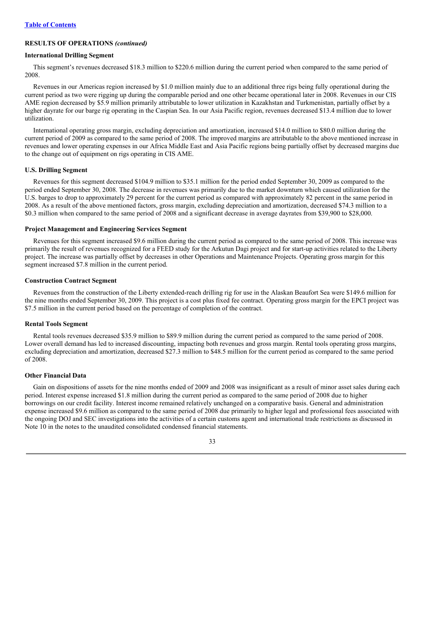## **RESULTS OF OPERATIONS** *(continued)*

#### **International Drilling Segment**

This segment's revenues decreased \$18.3 million to \$220.6 million during the current period when compared to the same period of 2008.

Revenues in our Americas region increased by \$1.0 million mainly due to an additional three rigs being fully operational during the current period as two were rigging up during the comparable period and one other became operational later in 2008. Revenues in our CIS AME region decreased by \$5.9 million primarily attributable to lower utilization in Kazakhstan and Turkmenistan, partially offset by a higher dayrate for our barge rig operating in the Caspian Sea. In our Asia Pacific region, revenues decreased \$13.4 million due to lower utilization.

International operating gross margin, excluding depreciation and amortization, increased \$14.0 million to \$80.0 million during the current period of 2009 as compared to the same period of 2008. The improved margins are attributable to the above mentioned increase in revenues and lower operating expenses in our Africa Middle East and Asia Pacific regions being partially offset by decreased margins due to the change out of equipment on rigs operating in CIS AME.

#### **U.S. Drilling Segment**

Revenues for this segment decreased \$104.9 million to \$35.1 million for the period ended September 30, 2009 as compared to the period ended September 30, 2008. The decrease in revenues was primarily due to the market downturn which caused utilization for the U.S. barges to drop to approximately 29 percent for the current period as compared with approximately 82 percent in the same period in 2008. As a result of the above mentioned factors, gross margin, excluding depreciation and amortization, decreased \$74.3 million to a \$0.3 million when compared to the same period of 2008 and a significant decrease in average dayrates from \$39,900 to \$28,000.

#### **Project Management and Engineering Services Segment**

Revenues for this segment increased \$9.6 million during the current period as compared to the same period of 2008. This increase was primarily the result of revenues recognized for a FEED study for the Arkutun Dagi project and for start-up activities related to the Liberty project. The increase was partially offset by decreases in other Operations and Maintenance Projects. Operating gross margin for this segment increased \$7.8 million in the current period.

#### **Construction Contract Segment**

Revenues from the construction of the Liberty extended-reach drilling rig for use in the Alaskan Beaufort Sea were \$149.6 million for the nine months ended September 30, 2009. This project is a cost plus fixed fee contract. Operating gross margin for the EPCI project was \$7.5 million in the current period based on the percentage of completion of the contract.

#### **Rental Tools Segment**

Rental tools revenues decreased \$35.9 million to \$89.9 million during the current period as compared to the same period of 2008. Lower overall demand has led to increased discounting, impacting both revenues and gross margin. Rental tools operating gross margins, excluding depreciation and amortization, decreased \$27.3 million to \$48.5 million for the current period as compared to the same period of 2008.

#### **Other Financial Data**

Gain on dispositions of assets for the nine months ended of 2009 and 2008 was insignificant as a result of minor asset sales during each period. Interest expense increased \$1.8 million during the current period as compared to the same period of 2008 due to higher borrowings on our credit facility. Interest income remained relatively unchanged on a comparative basis. General and administration expense increased \$9.6 million as compared to the same period of 2008 due primarily to higher legal and professional fees associated with the ongoing DOJ and SEC investigations into the activities of a certain customs agent and international trade restrictions as discussed in Note 10 in the notes to the unaudited consolidated condensed financial statements.

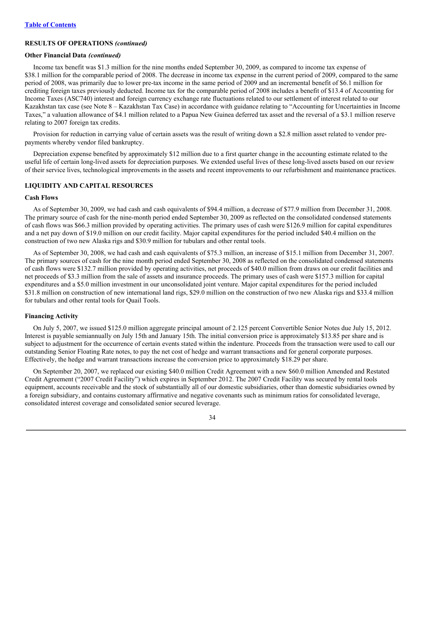## **RESULTS OF OPERATIONS** *(continued)*

#### **Other Financial Data** *(continued)*

Income tax benefit was \$1.3 million for the nine months ended September 30, 2009, as compared to income tax expense of \$38.1 million for the comparable period of 2008. The decrease in income tax expense in the current period of 2009, compared to the same period of 2008, was primarily due to lower pre-tax income in the same period of 2009 and an incremental benefit of \$6.1 million for crediting foreign taxes previously deducted. Income tax for the comparable period of 2008 includes a benefit of \$13.4 of Accounting for Income Taxes (ASC740) interest and foreign currency exchange rate fluctuations related to our settlement of interest related to our Kazakhstan tax case (see Note 8 – Kazakhstan Tax Case) in accordance with guidance relating to "Accounting for Uncertainties in Income Taxes," a valuation allowance of \$4.1 million related to a Papua New Guinea deferred tax asset and the reversal of a \$3.1 million reserve relating to 2007 foreign tax credits.

Provision for reduction in carrying value of certain assets was the result of writing down a \$2.8 million asset related to vendor prepayments whereby vendor filed bankruptcy.

Depreciation expense benefited by approximately \$12 million due to a first quarter change in the accounting estimate related to the useful life of certain long-lived assets for depreciation purposes. We extended useful lives of these long-lived assets based on our review of their service lives, technological improvements in the assets and recent improvements to our refurbishment and maintenance practices.

#### **LIQUIDITY AND CAPITAL RESOURCES**

#### **Cash Flows**

As of September 30, 2009, we had cash and cash equivalents of \$94.4 million, a decrease of \$77.9 million from December 31, 2008. The primary source of cash for the nine-month period ended September 30, 2009 as reflected on the consolidated condensed statements of cash flows was \$66.3 million provided by operating activities. The primary uses of cash were \$126.9 million for capital expenditures and a net pay down of \$19.0 million on our credit facility. Major capital expenditures for the period included \$40.4 million on the construction of two new Alaska rigs and \$30.9 million for tubulars and other rental tools.

As of September 30, 2008, we had cash and cash equivalents of \$75.3 million, an increase of \$15.1 million from December 31, 2007. The primary sources of cash for the nine month period ended September 30, 2008 as reflected on the consolidated condensed statements of cash flows were \$132.7 million provided by operating activities, net proceeds of \$40.0 million from draws on our credit facilities and net proceeds of \$3.3 million from the sale of assets and insurance proceeds. The primary uses of cash were \$157.3 million for capital expenditures and a \$5.0 million investment in our unconsolidated joint venture. Major capital expenditures for the period included \$31.8 million on construction of new international land rigs, \$29.0 million on the construction of two new Alaska rigs and \$33.4 million for tubulars and other rental tools for Quail Tools.

#### **Financing Activity**

On July 5, 2007, we issued \$125.0 million aggregate principal amount of 2.125 percent Convertible Senior Notes due July 15, 2012. Interest is payable semiannually on July 15th and January 15th. The initial conversion price is approximately \$13.85 per share and is subject to adjustment for the occurrence of certain events stated within the indenture. Proceeds from the transaction were used to call our outstanding Senior Floating Rate notes, to pay the net cost of hedge and warrant transactions and for general corporate purposes. Effectively, the hedge and warrant transactions increase the conversion price to approximately \$18.29 per share.

On September 20, 2007, we replaced our existing \$40.0 million Credit Agreement with a new \$60.0 million Amended and Restated Credit Agreement ("2007 Credit Facility") which expires in September 2012. The 2007 Credit Facility was secured by rental tools equipment, accounts receivable and the stock of substantially all of our domestic subsidiaries, other than domestic subsidiaries owned by a foreign subsidiary, and contains customary affirmative and negative covenants such as minimum ratios for consolidated leverage, consolidated interest coverage and consolidated senior secured leverage.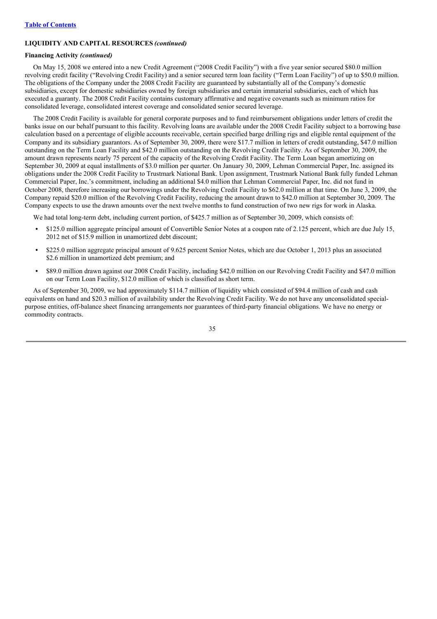## **LIQUIDITY AND CAPITAL RESOURCES** *(continued)*

#### **Financing Activity** *(continued)*

On May 15, 2008 we entered into a new Credit Agreement ("2008 Credit Facility") with a five year senior secured \$80.0 million revolving credit facility ("Revolving Credit Facility) and a senior secured term loan facility ("Term Loan Facility") of up to \$50.0 million. The obligations of the Company under the 2008 Credit Facility are guaranteed by substantially all of the Company's domestic subsidiaries, except for domestic subsidiaries owned by foreign subsidiaries and certain immaterial subsidiaries, each of which has executed a guaranty. The 2008 Credit Facility contains customary affirmative and negative covenants such as minimum ratios for consolidated leverage, consolidated interest coverage and consolidated senior secured leverage.

The 2008 Credit Facility is available for general corporate purposes and to fund reimbursement obligations under letters of credit the banks issue on our behalf pursuant to this facility. Revolving loans are available under the 2008 Credit Facility subject to a borrowing base calculation based on a percentage of eligible accounts receivable, certain specified barge drilling rigs and eligible rental equipment of the Company and its subsidiary guarantors. As of September 30, 2009, there were \$17.7 million in letters of credit outstanding, \$47.0 million outstanding on the Term Loan Facility and \$42.0 million outstanding on the Revolving Credit Facility. As of September 30, 2009, the amount drawn represents nearly 75 percent of the capacity of the Revolving Credit Facility. The Term Loan began amortizing on September 30, 2009 at equal installments of \$3.0 million per quarter. On January 30, 2009, Lehman Commercial Paper, Inc. assigned its obligations under the 2008 Credit Facility to Trustmark National Bank. Upon assignment, Trustmark National Bank fully funded Lehman Commercial Paper, Inc.'s commitment, including an additional \$4.0 million that Lehman Commercial Paper, Inc. did not fund in October 2008, therefore increasing our borrowings under the Revolving Credit Facility to \$62.0 million at that time. On June 3, 2009, the Company repaid \$20.0 million of the Revolving Credit Facility, reducing the amount drawn to \$42.0 million at September 30, 2009. The Company expects to use the drawn amounts over the next twelve months to fund construction of two new rigs for work in Alaska.

We had total long-term debt, including current portion, of \$425.7 million as of September 30, 2009, which consists of:

- **•** \$125.0 million aggregate principal amount of Convertible Senior Notes at a coupon rate of 2.125 percent, which are due July 15, 2012 net of \$15.9 million in unamortized debt discount;
- **•** \$225.0 million aggregate principal amount of 9.625 percent Senior Notes, which are due October 1, 2013 plus an associated \$2.6 million in unamortized debt premium; and
- **•** \$89.0 million drawn against our 2008 Credit Facility, including \$42.0 million on our Revolving Credit Facility and \$47.0 million on our Term Loan Facility, \$12.0 million of which is classified as short term.

As of September 30, 2009, we had approximately \$114.7 million of liquidity which consisted of \$94.4 million of cash and cash equivalents on hand and \$20.3 million of availability under the Revolving Credit Facility. We do not have any unconsolidated specialpurpose entities, off-balance sheet financing arrangements nor guarantees of third-party financial obligations. We have no energy or commodity contracts.

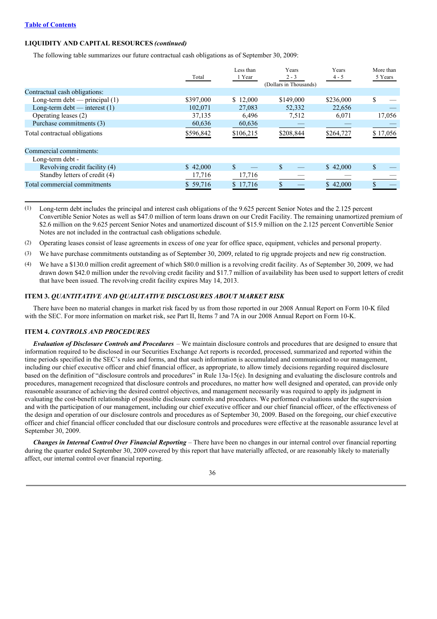## **LIQUIDITY AND CAPITAL RESOURCES** *(continued)*

The following table summarizes our future contractual cash obligations as of September 30, 2009:

|                                   |           | Less than     | Years                             | Years     | More than   |
|-----------------------------------|-----------|---------------|-----------------------------------|-----------|-------------|
|                                   | Total     | 1 Year        | $2 - 3$<br>(Dollars in Thousands) | $4 - 5$   | 5 Years     |
|                                   |           |               |                                   |           |             |
| Contractual cash obligations:     |           |               |                                   |           |             |
| Long-term debt — principal $(1)$  | \$397,000 | \$12,000      | \$149,000                         | \$236,000 | \$          |
| Long-term debt $-$ interest $(1)$ | 102,071   | 27,083        | 52,332                            | 22,656    |             |
| Operating leases (2)              | 37,135    | 6,496         | 7,512                             | 6,071     | 17,056      |
| Purchase commitments (3)          | 60,636    | 60,636        |                                   |           |             |
| Total contractual obligations     | \$596,842 | \$106,215     | \$208,844                         | \$264,727 | \$17,056    |
| Commercial commitments:           |           |               |                                   |           |             |
| Long-term debt -                  |           |               |                                   |           |             |
| Revolving credit facility (4)     | \$42,000  | <sup>\$</sup> |                                   | \$42,000  | $\mathbf S$ |
| Standby letters of credit (4)     | 17,716    | 17,716        |                                   |           |             |
| Total commercial commitments      | \$59,716  | \$17,716      |                                   | \$42,000  |             |

(1) Long-term debt includes the principal and interest cash obligations of the 9.625 percent Senior Notes and the 2.125 percent Convertible Senior Notes as well as \$47.0 million of term loans drawn on our Credit Facility. The remaining unamortized premium of \$2.6 million on the 9.625 percent Senior Notes and unamortized discount of \$15.9 million on the 2.125 percent Convertible Senior Notes are not included in the contractual cash obligations schedule.

(2) Operating leases consist of lease agreements in excess of one year for office space, equipment, vehicles and personal property.

(3) We have purchase commitments outstanding as of September 30, 2009, related to rig upgrade projects and new rig construction.

(4) We have a \$130.0 million credit agreement of which \$80.0 million is a revolving credit facility. As of September 30, 2009, we had drawn down \$42.0 million under the revolving credit facility and \$17.7 million of availability has been used to support letters of credit that have been issued. The revolving credit facility expires May 14, 2013.

## **ITEM 3.** *QUANTITATIVE AND QUALITATIVE DISCLOSURES ABOUT MARKET RISK*

There have been no material changes in market risk faced by us from those reported in our 2008 Annual Report on Form 10-K filed with the SEC. For more information on market risk, see Part II, Items 7 and 7A in our 2008 Annual Report on Form 10-K.

#### **ITEM 4.** *CONTROLS AND PROCEDURES*

*Evaluation of Disclosure Controls and Procedures* – We maintain disclosure controls and procedures that are designed to ensure that information required to be disclosed in our Securities Exchange Act reports is recorded, processed, summarized and reported within the time periods specified in the SEC's rules and forms, and that such information is accumulated and communicated to our management, including our chief executive officer and chief financial officer, as appropriate, to allow timely decisions regarding required disclosure based on the definition of "disclosure controls and procedures" in Rule 13a-15(e). In designing and evaluating the disclosure controls and procedures, management recognized that disclosure controls and procedures, no matter how well designed and operated, can provide only reasonable assurance of achieving the desired control objectives, and management necessarily was required to apply its judgment in evaluating the cost-benefit relationship of possible disclosure controls and procedures. We performed evaluations under the supervision and with the participation of our management, including our chief executive officer and our chief financial officer, of the effectiveness of the design and operation of our disclosure controls and procedures as of September 30, 2009. Based on the foregoing, our chief executive officer and chief financial officer concluded that our disclosure controls and procedures were effective at the reasonable assurance level at September 30, 2009.

*Changes in Internal Control Over Financial Reporting –* There have been no changes in our internal control over financial reporting during the quarter ended September 30, 2009 covered by this report that have materially affected, or are reasonably likely to materially affect, our internal control over financial reporting.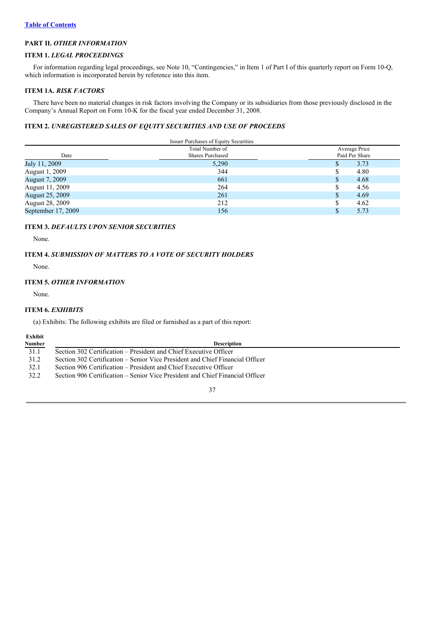## **PART II.** *OTHER INFORMATION*

## **ITEM 1.** *LEGAL PROCEEDINGS*

For information regarding legal proceedings, see Note 10, "Contingencies," in Item 1 of Part I of this quarterly report on Form 10-Q, which information is incorporated herein by reference into this item.

### **ITEM 1A.** *RISK FACTORS*

There have been no material changes in risk factors involving the Company or its subsidiaries from those previously disclosed in the Company's Annual Report on Form 10-K for the fiscal year ended December 31, 2008.

## **ITEM 2.** *UNREGISTERED SALES OF EQUITY SECURITIES AND USE OF PROCEEDS*

|                       | <b>Issuer Purchases of Equity Securities</b> |                |
|-----------------------|----------------------------------------------|----------------|
|                       | Total Number of                              | Average Price  |
| Date                  | <b>Shares Purchased</b>                      | Paid Per Share |
| July 11, 2009         | 5,290                                        | 3.73           |
| August 1, 2009        | 344                                          | 4.80           |
| <b>August 7, 2009</b> | 661                                          | 4.68<br>S      |
| August 11, 2009       | 264                                          | 4.56<br>S      |
| August 25, 2009       | 261                                          | 4.69<br>S      |
| August 28, 2009       | 212                                          | 4.62<br>S      |
| September 17, 2009    | 156                                          | 5.73           |

## **ITEM 3.** *DEFAULTS UPON SENIOR SECURITIES*

None.

## **ITEM 4.** *SUBMISSION OF MATTERS TO A VOTE OF SECURITY HOLDERS*

None.

## **ITEM 5.** *OTHER INFORMATION*

None.

## **ITEM 6.** *EXHIBITS*

(a) Exhibits: The following exhibits are filed or furnished as a part of this report:

| Exhibit<br>Number | <b>Description</b>                                                            |
|-------------------|-------------------------------------------------------------------------------|
| 31.1              | Section 302 Certification – President and Chief Executive Officer             |
| 31.2              | Section 302 Certification – Senior Vice President and Chief Financial Officer |
| 32.1              | Section 906 Certification – President and Chief Executive Officer             |
| 32.2              | Section 906 Certification – Senior Vice President and Chief Financial Officer |
|                   |                                                                               |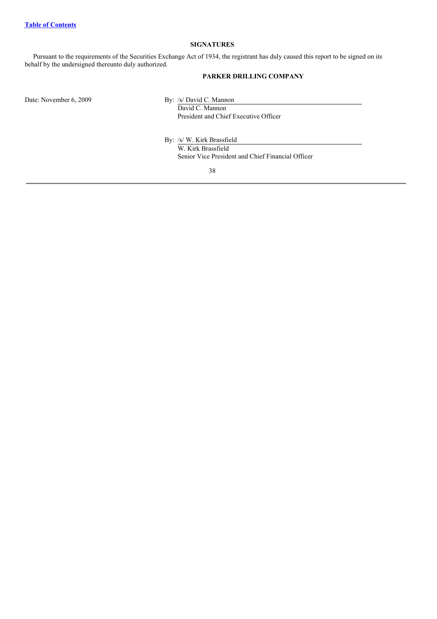## **SIGNATURES**

Pursuant to the requirements of the Securities Exchange Act of 1934, the registrant has duly caused this report to be signed on its behalf by the undersigned thereunto duly authorized.

## **PARKER DRILLING COMPANY**

Date: November 6, 2009 By: /s/ David C. Mannon

David C. Mannon President and Chief Executive Officer

By: /s/ W. Kirk Brassfield

W. Kirk Brassfield Senior Vice President and Chief Financial Officer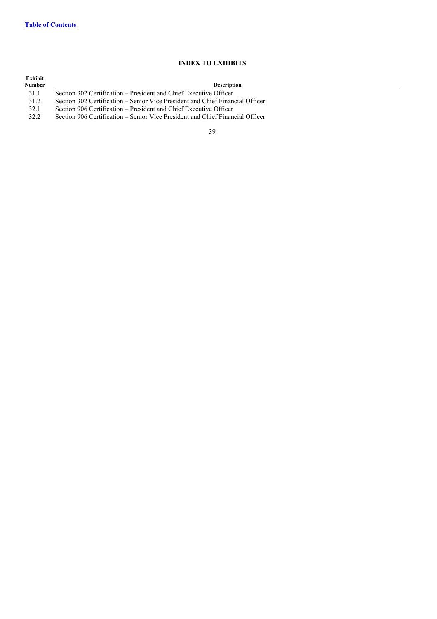# **INDEX TO EXHIBITS**

| Exhibit<br>Number | <b>Description</b>                                                            |
|-------------------|-------------------------------------------------------------------------------|
| 31.1              | Section 302 Certification – President and Chief Executive Officer             |
| 31.2              | Section 302 Certification – Senior Vice President and Chief Financial Officer |
| 32.1              | Section 906 Certification – President and Chief Executive Officer             |
| 32.2              | Section 906 Certification – Senior Vice President and Chief Financial Officer |
|                   |                                                                               |
|                   | 39                                                                            |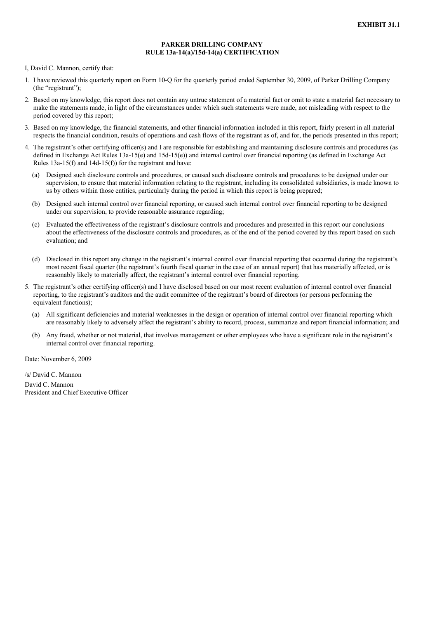#### **PARKER DRILLING COMPANY RULE 13a-14(a)/15d-14(a) CERTIFICATION**

I, David C. Mannon, certify that:

- 1. I have reviewed this quarterly report on Form 10-Q for the quarterly period ended September 30, 2009, of Parker Drilling Company (the "registrant");
- 2. Based on my knowledge, this report does not contain any untrue statement of a material fact or omit to state a material fact necessary to make the statements made, in light of the circumstances under which such statements were made, not misleading with respect to the period covered by this report;
- 3. Based on my knowledge, the financial statements, and other financial information included in this report, fairly present in all material respects the financial condition, results of operations and cash flows of the registrant as of, and for, the periods presented in this report;
- 4. The registrant's other certifying officer(s) and I are responsible for establishing and maintaining disclosure controls and procedures (as defined in Exchange Act Rules 13a-15(e) and 15d-15(e)) and internal control over financial reporting (as defined in Exchange Act Rules 13a-15(f) and 14d-15(f)) for the registrant and have:
	- (a) Designed such disclosure controls and procedures, or caused such disclosure controls and procedures to be designed under our supervision, to ensure that material information relating to the registrant, including its consolidated subsidiaries, is made known to us by others within those entities, particularly during the period in which this report is being prepared;
	- (b) Designed such internal control over financial reporting, or caused such internal control over financial reporting to be designed under our supervision, to provide reasonable assurance regarding;
	- (c) Evaluated the effectiveness of the registrant's disclosure controls and procedures and presented in this report our conclusions about the effectiveness of the disclosure controls and procedures, as of the end of the period covered by this report based on such evaluation; and
	- (d) Disclosed in this report any change in the registrant's internal control over financial reporting that occurred during the registrant's most recent fiscal quarter (the registrant's fourth fiscal quarter in the case of an annual report) that has materially affected, or is reasonably likely to materially affect, the registrant's internal control over financial reporting.
- 5. The registrant's other certifying officer(s) and I have disclosed based on our most recent evaluation of internal control over financial reporting, to the registrant's auditors and the audit committee of the registrant's board of directors (or persons performing the equivalent functions);
	- (a) All significant deficiencies and material weaknesses in the design or operation of internal control over financial reporting which are reasonably likely to adversely affect the registrant's ability to record, process, summarize and report financial information; and
	- (b) Any fraud, whether or not material, that involves management or other employees who have a significant role in the registrant's internal control over financial reporting.

Date: November 6, 2009

/s/ David C. Mannon David C. Mannon President and Chief Executive Officer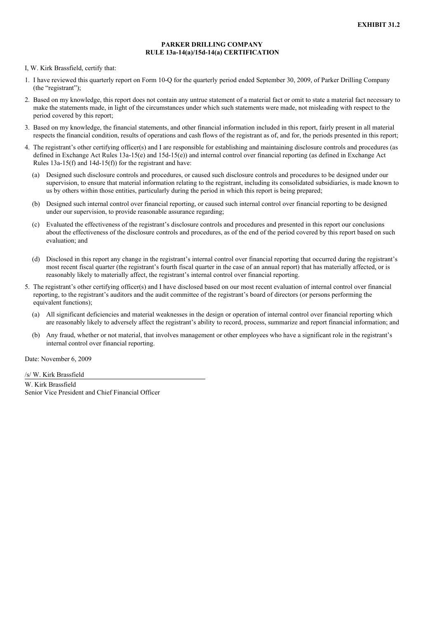#### **PARKER DRILLING COMPANY RULE 13a-14(a)/15d-14(a) CERTIFICATION**

I, W. Kirk Brassfield, certify that:

- 1. I have reviewed this quarterly report on Form 10-Q for the quarterly period ended September 30, 2009, of Parker Drilling Company (the "registrant");
- 2. Based on my knowledge, this report does not contain any untrue statement of a material fact or omit to state a material fact necessary to make the statements made, in light of the circumstances under which such statements were made, not misleading with respect to the period covered by this report;
- 3. Based on my knowledge, the financial statements, and other financial information included in this report, fairly present in all material respects the financial condition, results of operations and cash flows of the registrant as of, and for, the periods presented in this report;
- 4. The registrant's other certifying officer(s) and I are responsible for establishing and maintaining disclosure controls and procedures (as defined in Exchange Act Rules 13a-15(e) and 15d-15(e)) and internal control over financial reporting (as defined in Exchange Act Rules 13a-15(f) and 14d-15(f)) for the registrant and have:
	- (a) Designed such disclosure controls and procedures, or caused such disclosure controls and procedures to be designed under our supervision, to ensure that material information relating to the registrant, including its consolidated subsidiaries, is made known to us by others within those entities, particularly during the period in which this report is being prepared;
	- (b) Designed such internal control over financial reporting, or caused such internal control over financial reporting to be designed under our supervision, to provide reasonable assurance regarding;
	- (c) Evaluated the effectiveness of the registrant's disclosure controls and procedures and presented in this report our conclusions about the effectiveness of the disclosure controls and procedures, as of the end of the period covered by this report based on such evaluation; and
	- (d) Disclosed in this report any change in the registrant's internal control over financial reporting that occurred during the registrant's most recent fiscal quarter (the registrant's fourth fiscal quarter in the case of an annual report) that has materially affected, or is reasonably likely to materially affect, the registrant's internal control over financial reporting.
- 5. The registrant's other certifying officer(s) and I have disclosed based on our most recent evaluation of internal control over financial reporting, to the registrant's auditors and the audit committee of the registrant's board of directors (or persons performing the equivalent functions);
	- (a) All significant deficiencies and material weaknesses in the design or operation of internal control over financial reporting which are reasonably likely to adversely affect the registrant's ability to record, process, summarize and report financial information; and
	- (b) Any fraud, whether or not material, that involves management or other employees who have a significant role in the registrant's internal control over financial reporting.

Date: November 6, 2009

/s/ W. Kirk Brassfield W. Kirk Brassfield Senior Vice President and Chief Financial Officer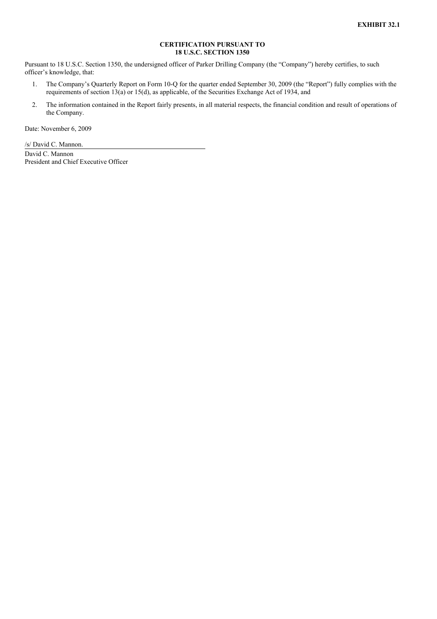## **CERTIFICATION PURSUANT TO 18 U.S.C. SECTION 1350**

Pursuant to 18 U.S.C. Section 1350, the undersigned officer of Parker Drilling Company (the "Company") hereby certifies, to such officer's knowledge, that:

- 1. The Company's Quarterly Report on Form 10-Q for the quarter ended September 30, 2009 (the "Report") fully complies with the requirements of section 13(a) or 15(d), as applicable, of the Securities Exchange Act of 1934, and
- 2. The information contained in the Report fairly presents, in all material respects, the financial condition and result of operations of the Company.

Date: November 6, 2009

/s/ David C. Mannon.

David C. Mannon President and Chief Executive Officer